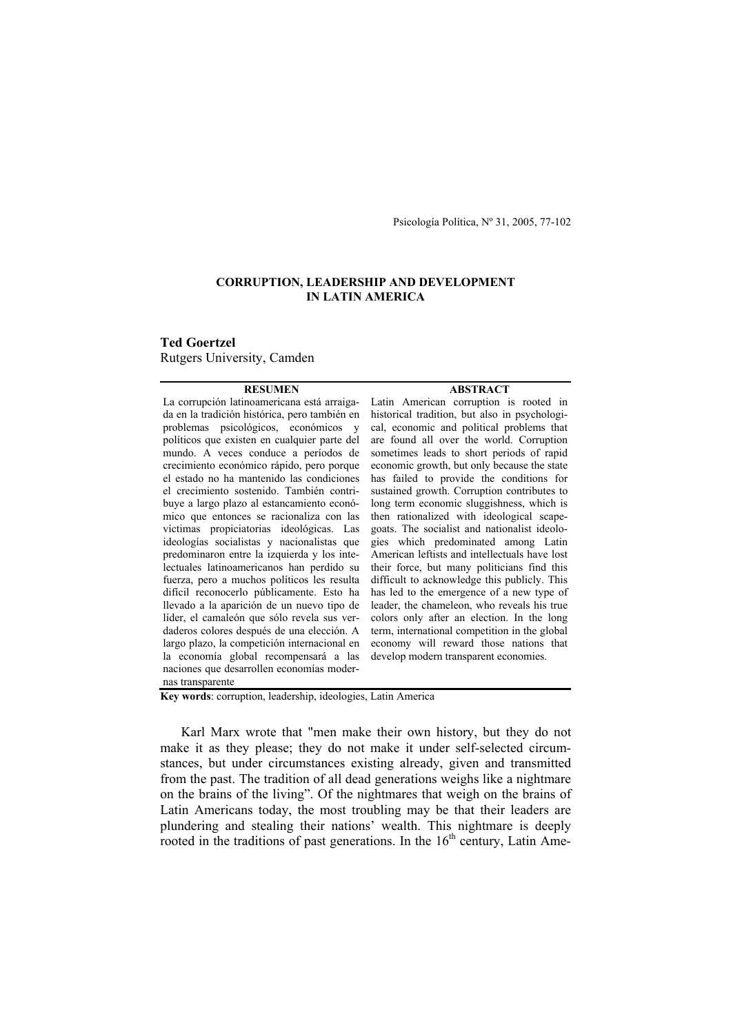Psicología Política, Nº 31, 2005, 77-102

# **CORRUPTION, LEADERSHIP AND DEVELOPMENT IN LATIN AMERICA**

**Ted Goertzel**  Rutgers University, Camden

#### **RESUMEN**

La corrupción latinoamericana está arraigada en la tradición histórica, pero también en problemas psicológicos, económicos y políticos que existen en cualquier parte del mundo. A veces conduce a períodos de crecimiento económico rápido, pero porque el estado no ha mantenido las condiciones el crecimiento sostenido. También contribuye a largo plazo al estancamiento económico que entonces se racionaliza con las víctimas propiciatorias ideológicas. Las ideologías socialistas y nacionalistas que predominaron entre la izquierda y los intelectuales latinoamericanos han perdido su fuerza, pero a muchos políticos les resulta difícil reconocerlo públicamente. Esto ha llevado a la aparición de un nuevo tipo de líder, el camaleón que sólo revela sus verdaderos colores después de una elección. A largo plazo, la competición internacional en la economía global recompensará a las naciones que desarrollen economías modernas transparente

Latin American corruption is rooted in historical tradition, but also in psychological, economic and political problems that are found all over the world. Corruption sometimes leads to short periods of rapid economic growth, but only because the state has failed to provide the conditions for sustained growth. Corruption contributes to long term economic sluggishness, which is then rationalized with ideological scapegoats. The socialist and nationalist ideologies which predominated among Latin American leftists and intellectuals have lost their force, but many politicians find this difficult to acknowledge this publicly. This has led to the emergence of a new type of leader, the chameleon, who reveals his true colors only after an election. In the long term, international competition in the global economy will reward those nations that develop modern transparent economies.

**ABSTRACT** 

**Key words**: corruption, leadership, ideologies, Latin America

 Karl Marx wrote that "men make their own history, but they do not make it as they please; they do not make it under self-selected circumstances, but under circumstances existing already, given and transmitted from the past. The tradition of all dead generations weighs like a nightmare on the brains of the living". Of the nightmares that weigh on the brains of Latin Americans today, the most troubling may be that their leaders are plundering and stealing their nations' wealth. This nightmare is deeply rooted in the traditions of past generations. In the  $16<sup>th</sup>$  century, Latin Ame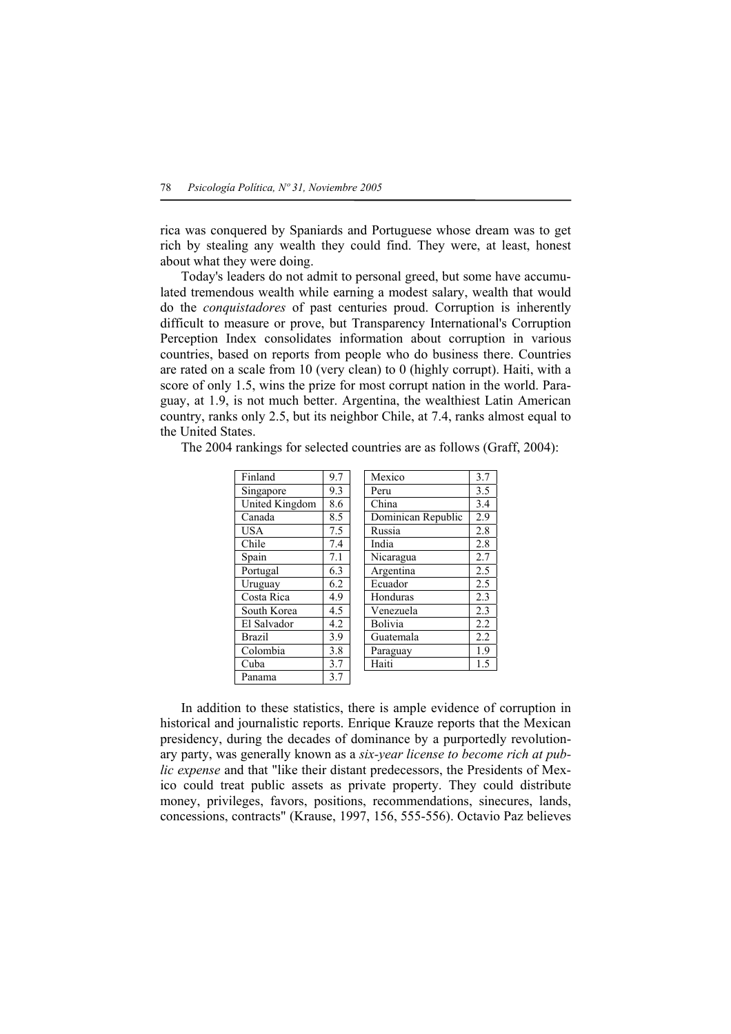rica was conquered by Spaniards and Portuguese whose dream was to get rich by stealing any wealth they could find. They were, at least, honest about what they were doing.

 Today's leaders do not admit to personal greed, but some have accumulated tremendous wealth while earning a modest salary, wealth that would do the *conquistadores* of past centuries proud. Corruption is inherently difficult to measure or prove, but Transparency International's Corruption Perception Index consolidates information about corruption in various countries, based on reports from people who do business there. Countries are rated on a scale from 10 (very clean) to 0 (highly corrupt). Haiti, with a score of only 1.5, wins the prize for most corrupt nation in the world. Paraguay, at 1.9, is not much better. Argentina, the wealthiest Latin American country, ranks only 2.5, but its neighbor Chile, at 7.4, ranks almost equal to the United States.

The 2004 rankings for selected countries are as follows (Graff, 2004):

| Finland        | 9.7 | Mexico             | 3.7 |
|----------------|-----|--------------------|-----|
| Singapore      | 9.3 | Peru               | 3.5 |
| United Kingdom | 8.6 | China              | 3.4 |
| Canada         | 8.5 | Dominican Republic | 2.9 |
| <b>USA</b>     | 7.5 | Russia             | 2.8 |
| Chile          | 7.4 | India              | 2.8 |
| Spain          | 7.1 | Nicaragua          | 2.7 |
| Portugal       | 6.3 | Argentina          | 2.5 |
| Uruguay        | 6.2 | Ecuador            | 2.5 |
| Costa Rica     | 4.9 | Honduras           | 2.3 |
| South Korea    | 4.5 | Venezuela          | 2.3 |
| El Salvador    | 4.2 | Bolivia            | 2.2 |
| <b>Brazil</b>  | 3.9 | Guatemala          | 2.2 |
| Colombia       | 3.8 | Paraguay           | 1.9 |
| Cuba           | 3.7 | Haiti              | 1.5 |
| Panama         | 3.7 |                    |     |

 In addition to these statistics, there is ample evidence of corruption in historical and journalistic reports. Enrique Krauze reports that the Mexican presidency, during the decades of dominance by a purportedly revolutionary party, was generally known as a *six-year license to become rich at public expense* and that "like their distant predecessors, the Presidents of Mexico could treat public assets as private property. They could distribute money, privileges, favors, positions, recommendations, sinecures, lands, concessions, contracts" (Krause, 1997, 156, 555-556). Octavio Paz believes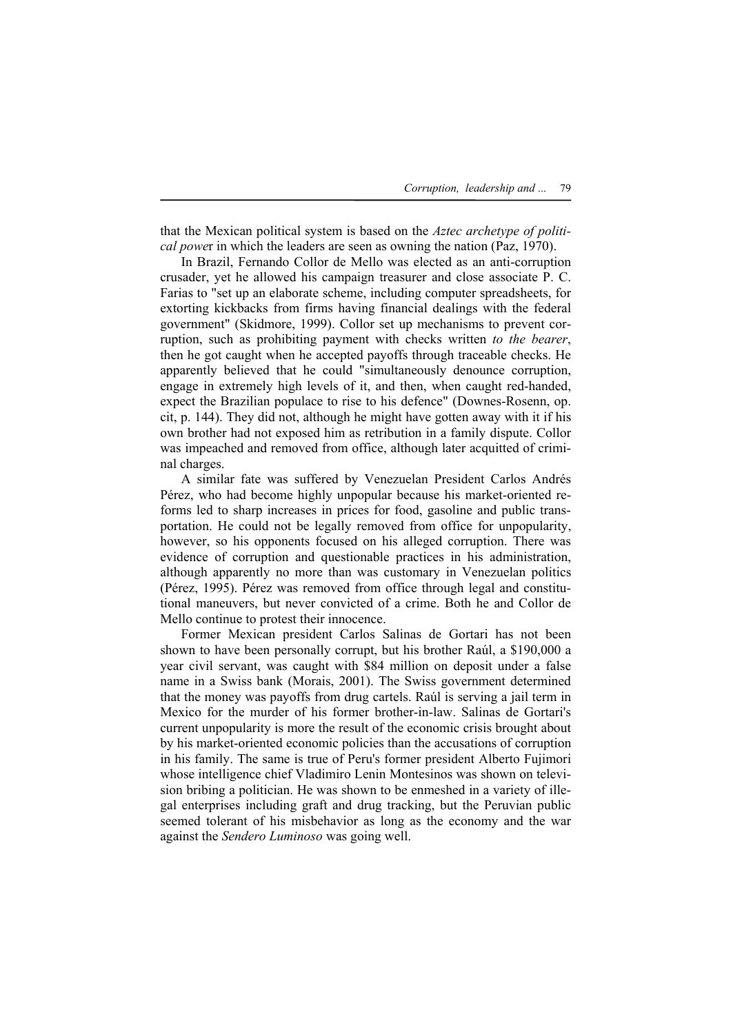that the Mexican political system is based on the *Aztec archetype of political powe*r in which the leaders are seen as owning the nation (Paz, 1970).

 In Brazil, Fernando Collor de Mello was elected as an anti-corruption crusader, yet he allowed his campaign treasurer and close associate P. C. Farias to "set up an elaborate scheme, including computer spreadsheets, for extorting kickbacks from firms having financial dealings with the federal government" (Skidmore, 1999). Collor set up mechanisms to prevent corruption, such as prohibiting payment with checks written *to the bearer*, then he got caught when he accepted payoffs through traceable checks. He apparently believed that he could "simultaneously denounce corruption, engage in extremely high levels of it, and then, when caught red-handed, expect the Brazilian populace to rise to his defence" (Downes-Rosenn, op. cit, p. 144). They did not, although he might have gotten away with it if his own brother had not exposed him as retribution in a family dispute. Collor was impeached and removed from office, although later acquitted of criminal charges.

 A similar fate was suffered by Venezuelan President Carlos Andrés Pérez, who had become highly unpopular because his market-oriented reforms led to sharp increases in prices for food, gasoline and public transportation. He could not be legally removed from office for unpopularity, however, so his opponents focused on his alleged corruption. There was evidence of corruption and questionable practices in his administration, although apparently no more than was customary in Venezuelan politics (Pérez, 1995). Pérez was removed from office through legal and constitutional maneuvers, but never convicted of a crime. Both he and Collor de Mello continue to protest their innocence.

 Former Mexican president Carlos Salinas de Gortari has not been shown to have been personally corrupt, but his brother Raúl, a \$190,000 a year civil servant, was caught with \$84 million on deposit under a false name in a Swiss bank (Morais, 2001). The Swiss government determined that the money was payoffs from drug cartels. Raúl is serving a jail term in Mexico for the murder of his former brother-in-law. Salinas de Gortari's current unpopularity is more the result of the economic crisis brought about by his market-oriented economic policies than the accusations of corruption in his family. The same is true of Peru's former president Alberto Fujimori whose intelligence chief Vladimiro Lenin Montesinos was shown on television bribing a politician. He was shown to be enmeshed in a variety of illegal enterprises including graft and drug tracking, but the Peruvian public seemed tolerant of his misbehavior as long as the economy and the war against the *Sendero Luminoso* was going well.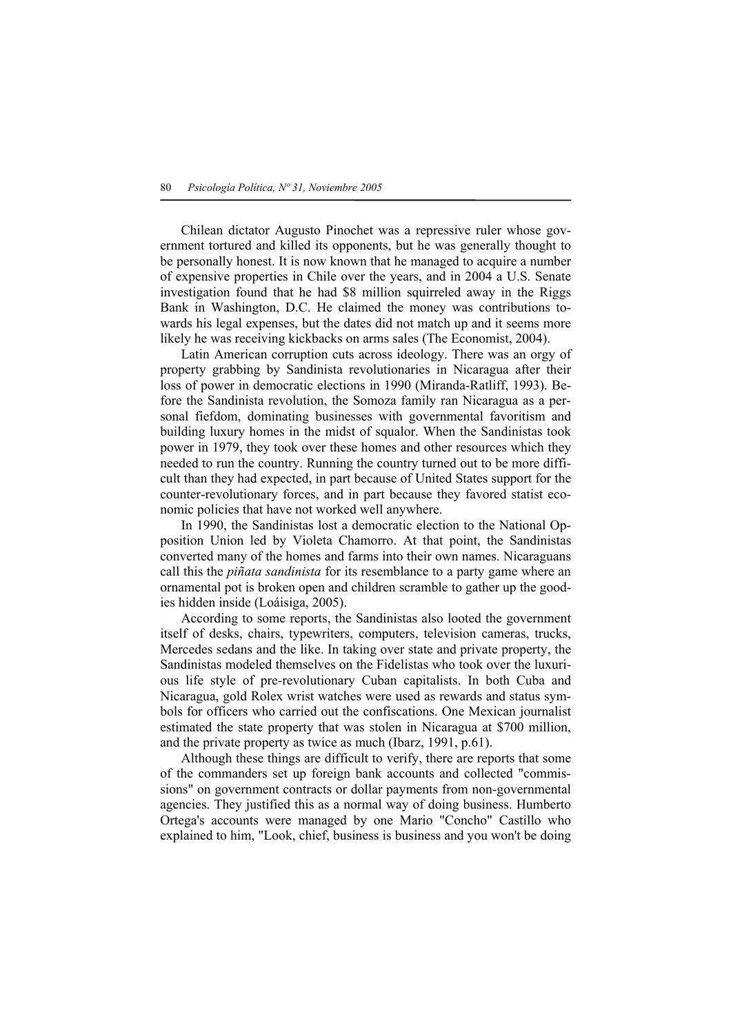Chilean dictator Augusto Pinochet was a repressive ruler whose government tortured and killed its opponents, but he was generally thought to be personally honest. It is now known that he managed to acquire a number of expensive properties in Chile over the years, and in 2004 a U.S. Senate investigation found that he had \$8 million squirreled away in the Riggs Bank in Washington, D.C. He claimed the money was contributions towards his legal expenses, but the dates did not match up and it seems more likely he was receiving kickbacks on arms sales (The Economist, 2004).

 Latin American corruption cuts across ideology. There was an orgy of property grabbing by Sandinista revolutionaries in Nicaragua after their loss of power in democratic elections in 1990 (Miranda-Ratliff, 1993). Before the Sandinista revolution, the Somoza family ran Nicaragua as a personal fiefdom, dominating businesses with governmental favoritism and building luxury homes in the midst of squalor. When the Sandinistas took power in 1979, they took over these homes and other resources which they needed to run the country. Running the country turned out to be more difficult than they had expected, in part because of United States support for the counter-revolutionary forces, and in part because they favored statist economic policies that have not worked well anywhere.

 In 1990, the Sandinistas lost a democratic election to the National Opposition Union led by Violeta Chamorro. At that point, the Sandinistas converted many of the homes and farms into their own names. Nicaraguans call this the *piñata sandinista* for its resemblance to a party game where an ornamental pot is broken open and children scramble to gather up the goodies hidden inside (Loáisiga, 2005).

 According to some reports, the Sandinistas also looted the government itself of desks, chairs, typewriters, computers, television cameras, trucks, Mercedes sedans and the like. In taking over state and private property, the Sandinistas modeled themselves on the Fidelistas who took over the luxurious life style of pre-revolutionary Cuban capitalists. In both Cuba and Nicaragua, gold Rolex wrist watches were used as rewards and status symbols for officers who carried out the confiscations. One Mexican journalist estimated the state property that was stolen in Nicaragua at \$700 million, and the private property as twice as much (Ibarz, 1991, p.61).

 Although these things are difficult to verify, there are reports that some of the commanders set up foreign bank accounts and collected "commissions" on government contracts or dollar payments from non-governmental agencies. They justified this as a normal way of doing business. Humberto Ortega's accounts were managed by one Mario "Concho" Castillo who explained to him, "Look, chief, business is business and you won't be doing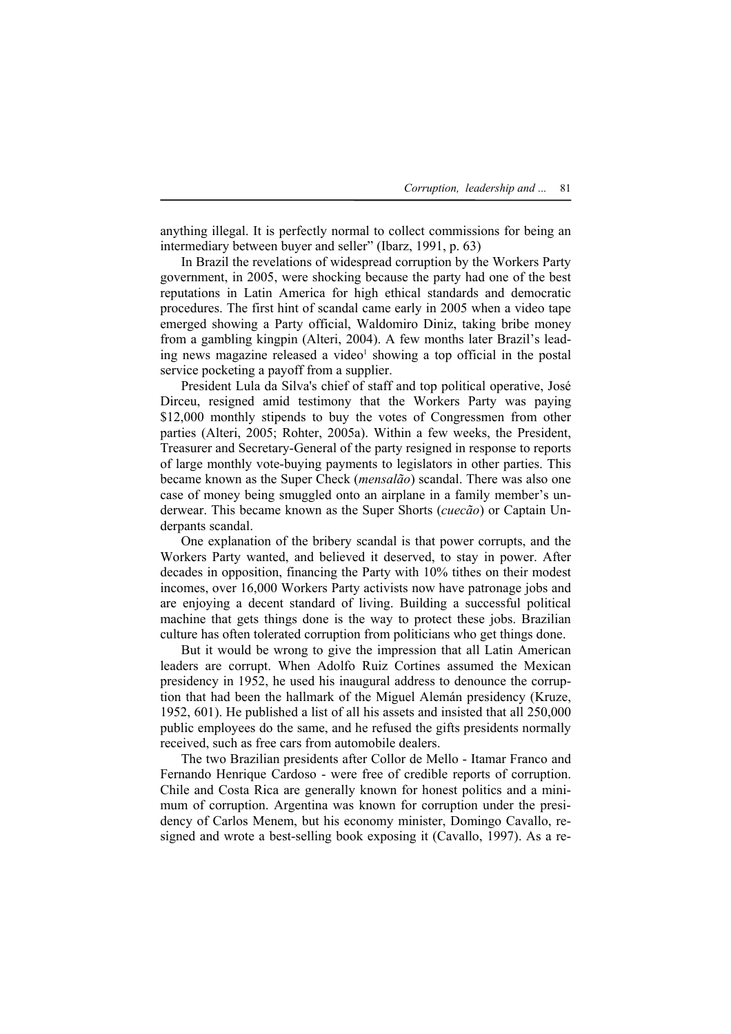anything illegal. It is perfectly normal to collect commissions for being an intermediary between buyer and seller" (Ibarz, 1991, p. 63)

 In Brazil the revelations of widespread corruption by the Workers Party government, in 2005, were shocking because the party had one of the best reputations in Latin America for high ethical standards and democratic procedures. The first hint of scandal came early in 2005 when a video tape emerged showing a Party official, Waldomiro Diniz, taking bribe money from a gambling kingpin (Alteri, 2004). A few months later Brazil's leading news magazine released a video<sup>1</sup> showing a top official in the postal service pocketing a payoff from a supplier.

 President Lula da Silva's chief of staff and top political operative, José Dirceu, resigned amid testimony that the Workers Party was paying \$12,000 monthly stipends to buy the votes of Congressmen from other parties (Alteri, 2005; Rohter, 2005a). Within a few weeks, the President, Treasurer and Secretary-General of the party resigned in response to reports of large monthly vote-buying payments to legislators in other parties. This became known as the Super Check (*mensalão*) scandal. There was also one case of money being smuggled onto an airplane in a family member's underwear. This became known as the Super Shorts (*cuecão*) or Captain Underpants scandal.

 One explanation of the bribery scandal is that power corrupts, and the Workers Party wanted, and believed it deserved, to stay in power. After decades in opposition, financing the Party with 10% tithes on their modest incomes, over 16,000 Workers Party activists now have patronage jobs and are enjoying a decent standard of living. Building a successful political machine that gets things done is the way to protect these jobs. Brazilian culture has often tolerated corruption from politicians who get things done.

 But it would be wrong to give the impression that all Latin American leaders are corrupt. When Adolfo Ruiz Cortines assumed the Mexican presidency in 1952, he used his inaugural address to denounce the corruption that had been the hallmark of the Miguel Alemán presidency (Kruze, 1952, 601). He published a list of all his assets and insisted that all 250,000 public employees do the same, and he refused the gifts presidents normally received, such as free cars from automobile dealers.

 The two Brazilian presidents after Collor de Mello - Itamar Franco and Fernando Henrique Cardoso - were free of credible reports of corruption. Chile and Costa Rica are generally known for honest politics and a minimum of corruption. Argentina was known for corruption under the presidency of Carlos Menem, but his economy minister, Domingo Cavallo, resigned and wrote a best-selling book exposing it (Cavallo, 1997). As a re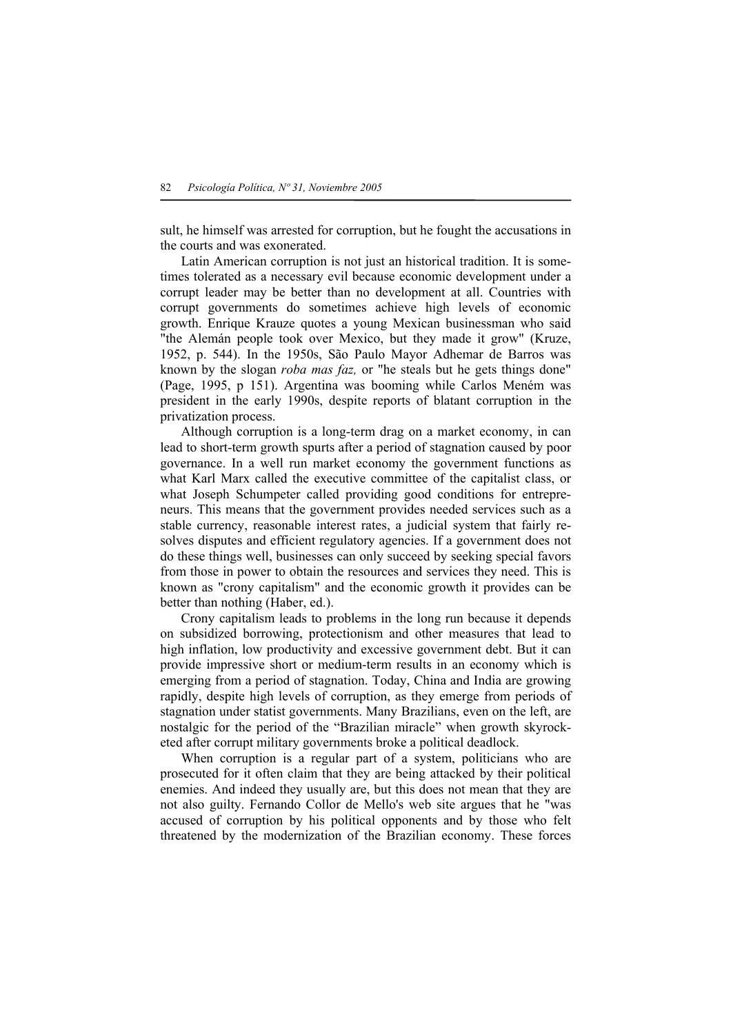sult, he himself was arrested for corruption, but he fought the accusations in the courts and was exonerated.

 Latin American corruption is not just an historical tradition. It is sometimes tolerated as a necessary evil because economic development under a corrupt leader may be better than no development at all. Countries with corrupt governments do sometimes achieve high levels of economic growth. Enrique Krauze quotes a young Mexican businessman who said "the Alemán people took over Mexico, but they made it grow" (Kruze, 1952, p. 544). In the 1950s, São Paulo Mayor Adhemar de Barros was known by the slogan *roba mas faz,* or "he steals but he gets things done" (Page, 1995, p 151). Argentina was booming while Carlos Meném was president in the early 1990s, despite reports of blatant corruption in the privatization process.

 Although corruption is a long-term drag on a market economy, in can lead to short-term growth spurts after a period of stagnation caused by poor governance. In a well run market economy the government functions as what Karl Marx called the executive committee of the capitalist class, or what Joseph Schumpeter called providing good conditions for entrepreneurs. This means that the government provides needed services such as a stable currency, reasonable interest rates, a judicial system that fairly resolves disputes and efficient regulatory agencies. If a government does not do these things well, businesses can only succeed by seeking special favors from those in power to obtain the resources and services they need. This is known as "crony capitalism" and the economic growth it provides can be better than nothing (Haber, ed.).

 Crony capitalism leads to problems in the long run because it depends on subsidized borrowing, protectionism and other measures that lead to high inflation, low productivity and excessive government debt. But it can provide impressive short or medium-term results in an economy which is emerging from a period of stagnation. Today, China and India are growing rapidly, despite high levels of corruption, as they emerge from periods of stagnation under statist governments. Many Brazilians, even on the left, are nostalgic for the period of the "Brazilian miracle" when growth skyrocketed after corrupt military governments broke a political deadlock.

 When corruption is a regular part of a system, politicians who are prosecuted for it often claim that they are being attacked by their political enemies. And indeed they usually are, but this does not mean that they are not also guilty. Fernando Collor de Mello's web site argues that he "was accused of corruption by his political opponents and by those who felt threatened by the modernization of the Brazilian economy. These forces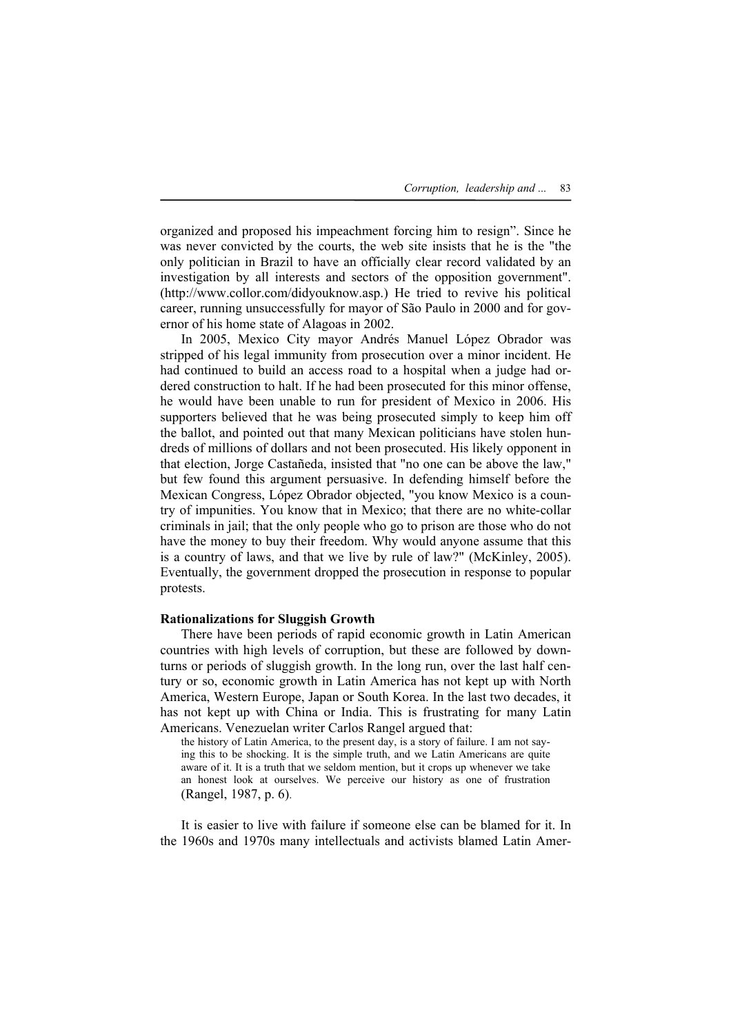organized and proposed his impeachment forcing him to resign". Since he was never convicted by the courts, the web site insists that he is the "the only politician in Brazil to have an officially clear record validated by an investigation by all interests and sectors of the opposition government". (http://www.collor.com/didyouknow.asp.) He tried to revive his political career, running unsuccessfully for mayor of São Paulo in 2000 and for governor of his home state of Alagoas in 2002.

 In 2005, Mexico City mayor Andrés Manuel López Obrador was stripped of his legal immunity from prosecution over a minor incident. He had continued to build an access road to a hospital when a judge had ordered construction to halt. If he had been prosecuted for this minor offense, he would have been unable to run for president of Mexico in 2006. His supporters believed that he was being prosecuted simply to keep him off the ballot, and pointed out that many Mexican politicians have stolen hundreds of millions of dollars and not been prosecuted. His likely opponent in that election, Jorge Castañeda, insisted that "no one can be above the law," but few found this argument persuasive. In defending himself before the Mexican Congress, López Obrador objected, "you know Mexico is a country of impunities. You know that in Mexico; that there are no white-collar criminals in jail; that the only people who go to prison are those who do not have the money to buy their freedom. Why would anyone assume that this is a country of laws, and that we live by rule of law?" (McKinley, 2005). Eventually, the government dropped the prosecution in response to popular protests.

## **Rationalizations for Sluggish Growth**

 There have been periods of rapid economic growth in Latin American countries with high levels of corruption, but these are followed by downturns or periods of sluggish growth. In the long run, over the last half century or so, economic growth in Latin America has not kept up with North America, Western Europe, Japan or South Korea. In the last two decades, it has not kept up with China or India. This is frustrating for many Latin Americans. Venezuelan writer Carlos Rangel argued that:

the history of Latin America, to the present day, is a story of failure. I am not saying this to be shocking. It is the simple truth, and we Latin Americans are quite aware of it. It is a truth that we seldom mention, but it crops up whenever we take an honest look at ourselves. We perceive our history as one of frustration (Rangel, 1987, p. 6).

 It is easier to live with failure if someone else can be blamed for it. In the 1960s and 1970s many intellectuals and activists blamed Latin Amer-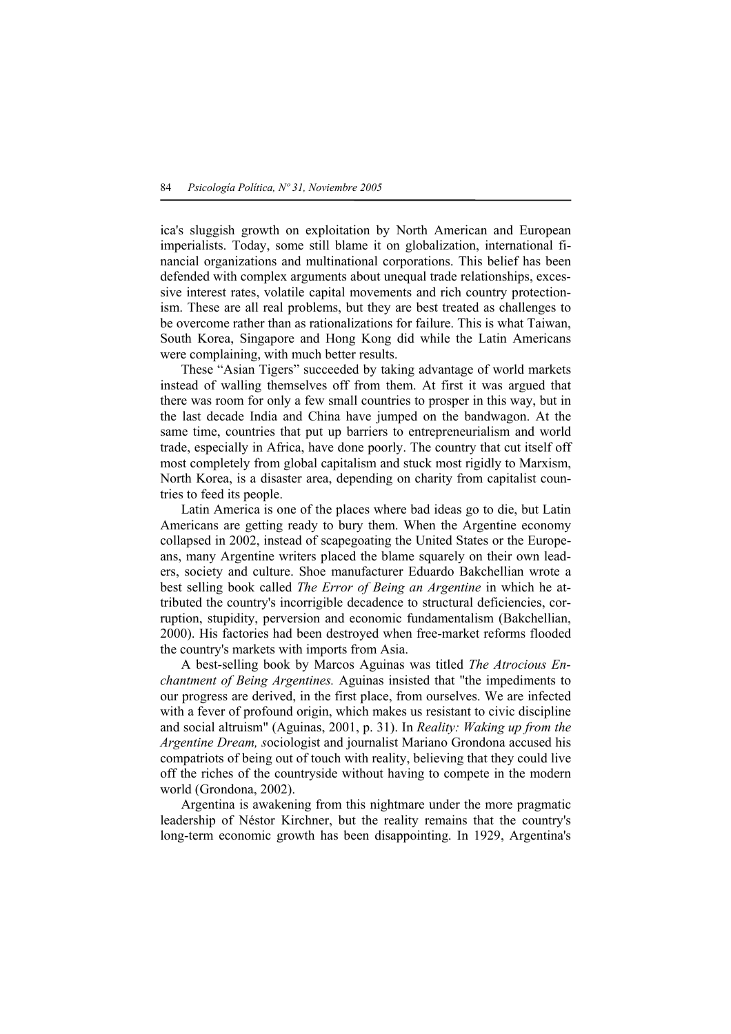ica's sluggish growth on exploitation by North American and European imperialists. Today, some still blame it on globalization, international financial organizations and multinational corporations. This belief has been defended with complex arguments about unequal trade relationships, excessive interest rates, volatile capital movements and rich country protectionism. These are all real problems, but they are best treated as challenges to be overcome rather than as rationalizations for failure. This is what Taiwan, South Korea, Singapore and Hong Kong did while the Latin Americans were complaining, with much better results.

 These "Asian Tigers" succeeded by taking advantage of world markets instead of walling themselves off from them. At first it was argued that there was room for only a few small countries to prosper in this way, but in the last decade India and China have jumped on the bandwagon. At the same time, countries that put up barriers to entrepreneurialism and world trade, especially in Africa, have done poorly. The country that cut itself off most completely from global capitalism and stuck most rigidly to Marxism, North Korea, is a disaster area, depending on charity from capitalist countries to feed its people.

 Latin America is one of the places where bad ideas go to die, but Latin Americans are getting ready to bury them. When the Argentine economy collapsed in 2002, instead of scapegoating the United States or the Europeans, many Argentine writers placed the blame squarely on their own leaders, society and culture. Shoe manufacturer Eduardo Bakchellian wrote a best selling book called *The Error of Being an Argentine* in which he attributed the country's incorrigible decadence to structural deficiencies, corruption, stupidity, perversion and economic fundamentalism (Bakchellian, 2000). His factories had been destroyed when free-market reforms flooded the country's markets with imports from Asia.

 A best-selling book by Marcos Aguinas was titled *The Atrocious Enchantment of Being Argentines.* Aguinas insisted that "the impediments to our progress are derived, in the first place, from ourselves. We are infected with a fever of profound origin, which makes us resistant to civic discipline and social altruism" (Aguinas, 2001, p. 31). In *Reality: Waking up from the Argentine Dream, s*ociologist and journalist Mariano Grondona accused his compatriots of being out of touch with reality, believing that they could live off the riches of the countryside without having to compete in the modern world (Grondona, 2002).

 Argentina is awakening from this nightmare under the more pragmatic leadership of Néstor Kirchner, but the reality remains that the country's long-term economic growth has been disappointing. In 1929, Argentina's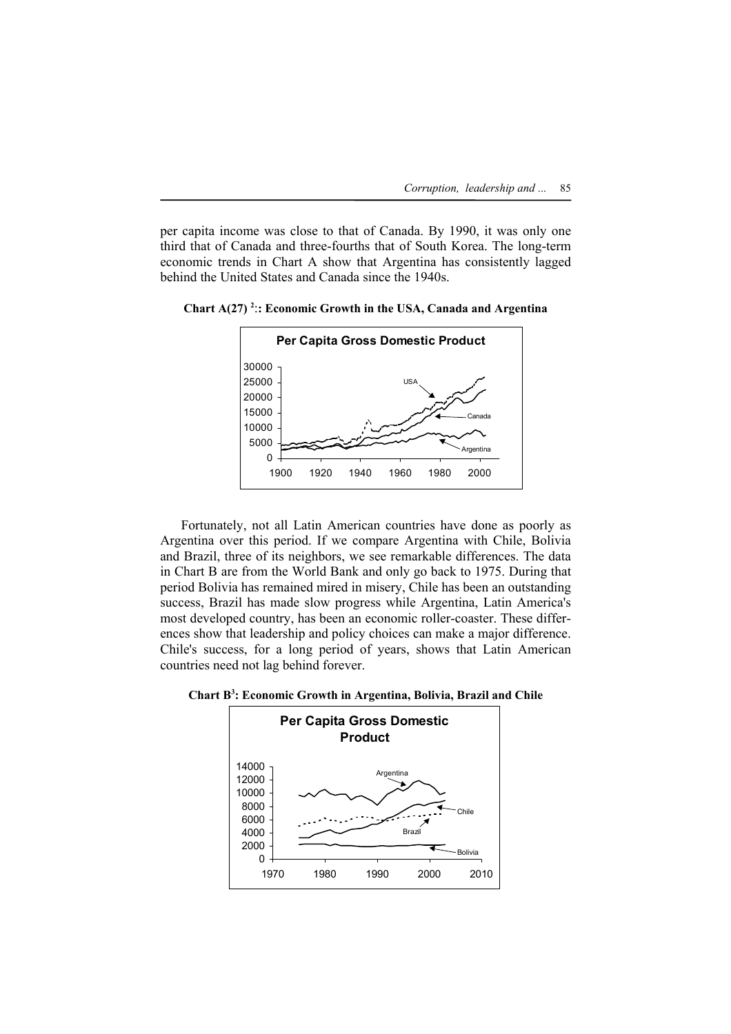per capita income was close to that of Canada. By 1990, it was only one third that of Canada and three-fourths that of South Korea. The long-term economic trends in Chart A show that Argentina has consistently lagged behind the United States and Canada since the 1940s.



**Chart A(27) 2** :**: Economic Growth in the USA, Canada and Argentina** 

 Fortunately, not all Latin American countries have done as poorly as Argentina over this period. If we compare Argentina with Chile, Bolivia and Brazil, three of its neighbors, we see remarkable differences. The data in Chart B are from the World Bank and only go back to 1975. During that period Bolivia has remained mired in misery, Chile has been an outstanding success, Brazil has made slow progress while Argentina, Latin America's most developed country, has been an economic roller-coaster. These differences show that leadership and policy choices can make a major difference. Chile's success, for a long period of years, shows that Latin American countries need not lag behind forever.

**Chart B3 : Economic Growth in Argentina, Bolivia, Brazil and Chile** 

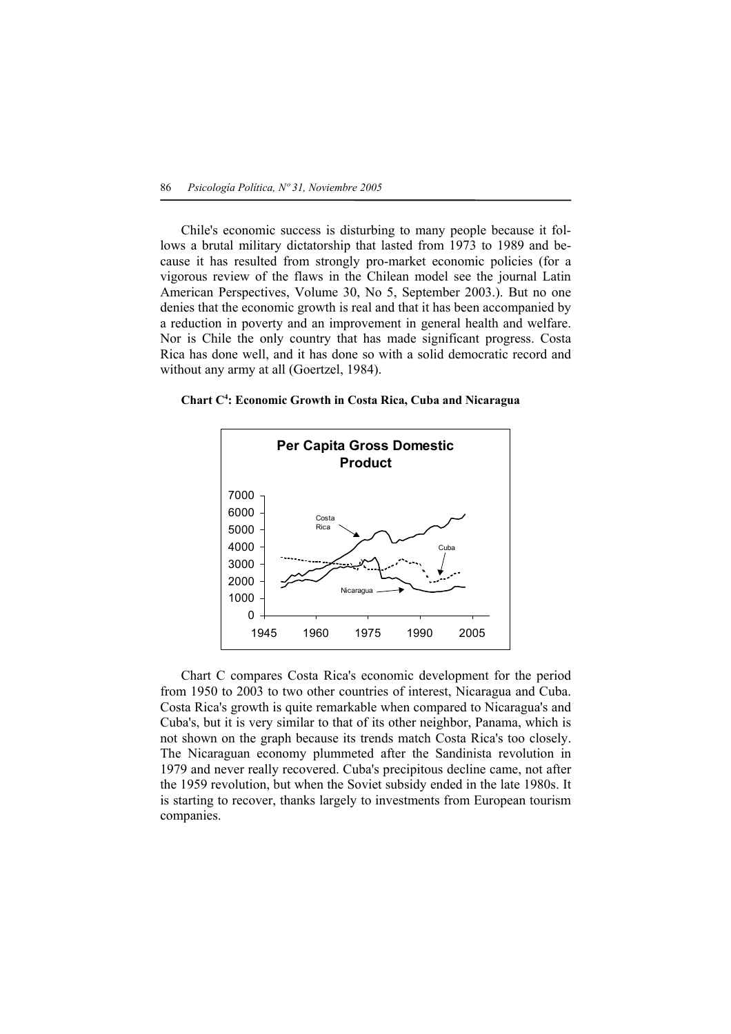Chile's economic success is disturbing to many people because it follows a brutal military dictatorship that lasted from 1973 to 1989 and because it has resulted from strongly pro-market economic policies (for a vigorous review of the flaws in the Chilean model see the journal Latin American Perspectives, Volume 30, No 5, September 2003.). But no one denies that the economic growth is real and that it has been accompanied by a reduction in poverty and an improvement in general health and welfare. Nor is Chile the only country that has made significant progress. Costa Rica has done well, and it has done so with a solid democratic record and without any army at all (Goertzel, 1984).

**Chart C4 : Economic Growth in Costa Rica, Cuba and Nicaragua** 



 Chart C compares Costa Rica's economic development for the period from 1950 to 2003 to two other countries of interest, Nicaragua and Cuba. Costa Rica's growth is quite remarkable when compared to Nicaragua's and Cuba's, but it is very similar to that of its other neighbor, Panama, which is not shown on the graph because its trends match Costa Rica's too closely. The Nicaraguan economy plummeted after the Sandinista revolution in 1979 and never really recovered. Cuba's precipitous decline came, not after the 1959 revolution, but when the Soviet subsidy ended in the late 1980s. It is starting to recover, thanks largely to investments from European tourism companies.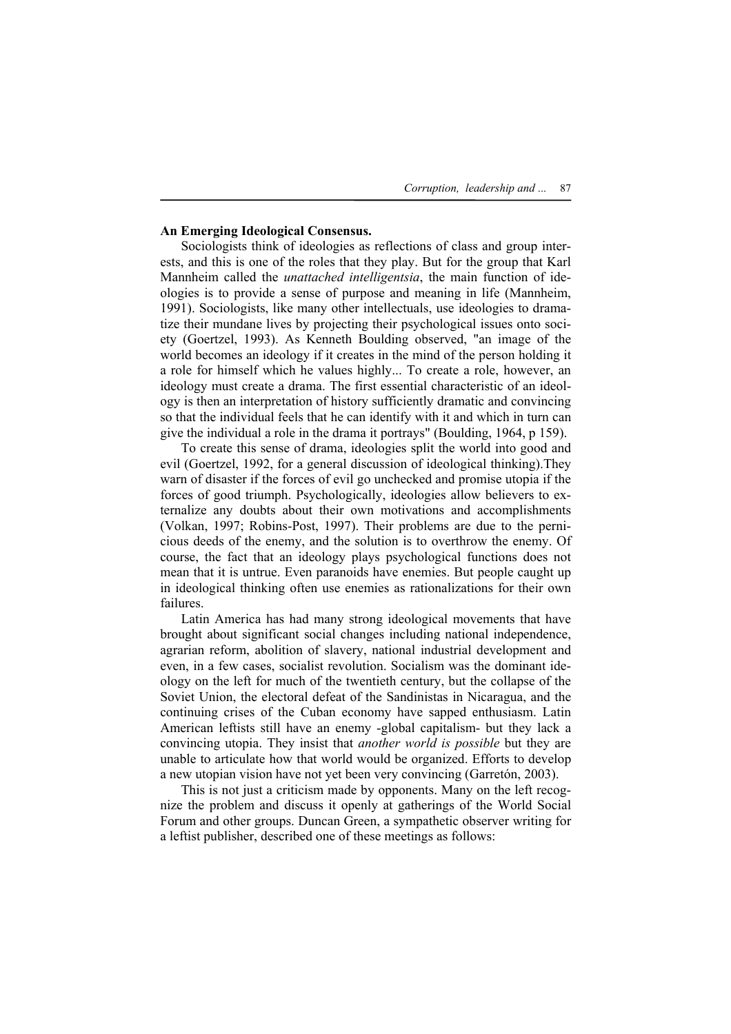### **An Emerging Ideological Consensus.**

Sociologists think of ideologies as reflections of class and group interests, and this is one of the roles that they play. But for the group that Karl Mannheim called the *unattached intelligentsia*, the main function of ideologies is to provide a sense of purpose and meaning in life (Mannheim, 1991). Sociologists, like many other intellectuals, use ideologies to dramatize their mundane lives by projecting their psychological issues onto society (Goertzel, 1993). As Kenneth Boulding observed, "an image of the world becomes an ideology if it creates in the mind of the person holding it a role for himself which he values highly... To create a role, however, an ideology must create a drama. The first essential characteristic of an ideology is then an interpretation of history sufficiently dramatic and convincing so that the individual feels that he can identify with it and which in turn can give the individual a role in the drama it portrays" (Boulding, 1964, p 159).

 To create this sense of drama, ideologies split the world into good and evil (Goertzel, 1992, for a general discussion of ideological thinking).They warn of disaster if the forces of evil go unchecked and promise utopia if the forces of good triumph. Psychologically, ideologies allow believers to externalize any doubts about their own motivations and accomplishments (Volkan, 1997; Robins-Post, 1997). Their problems are due to the pernicious deeds of the enemy, and the solution is to overthrow the enemy. Of course, the fact that an ideology plays psychological functions does not mean that it is untrue. Even paranoids have enemies. But people caught up in ideological thinking often use enemies as rationalizations for their own failures.

 Latin America has had many strong ideological movements that have brought about significant social changes including national independence, agrarian reform, abolition of slavery, national industrial development and even, in a few cases, socialist revolution. Socialism was the dominant ideology on the left for much of the twentieth century, but the collapse of the Soviet Union, the electoral defeat of the Sandinistas in Nicaragua, and the continuing crises of the Cuban economy have sapped enthusiasm. Latin American leftists still have an enemy -global capitalism- but they lack a convincing utopia. They insist that *another world is possible* but they are unable to articulate how that world would be organized. Efforts to develop a new utopian vision have not yet been very convincing (Garretón, 2003).

 This is not just a criticism made by opponents. Many on the left recognize the problem and discuss it openly at gatherings of the World Social Forum and other groups. Duncan Green, a sympathetic observer writing for a leftist publisher, described one of these meetings as follows: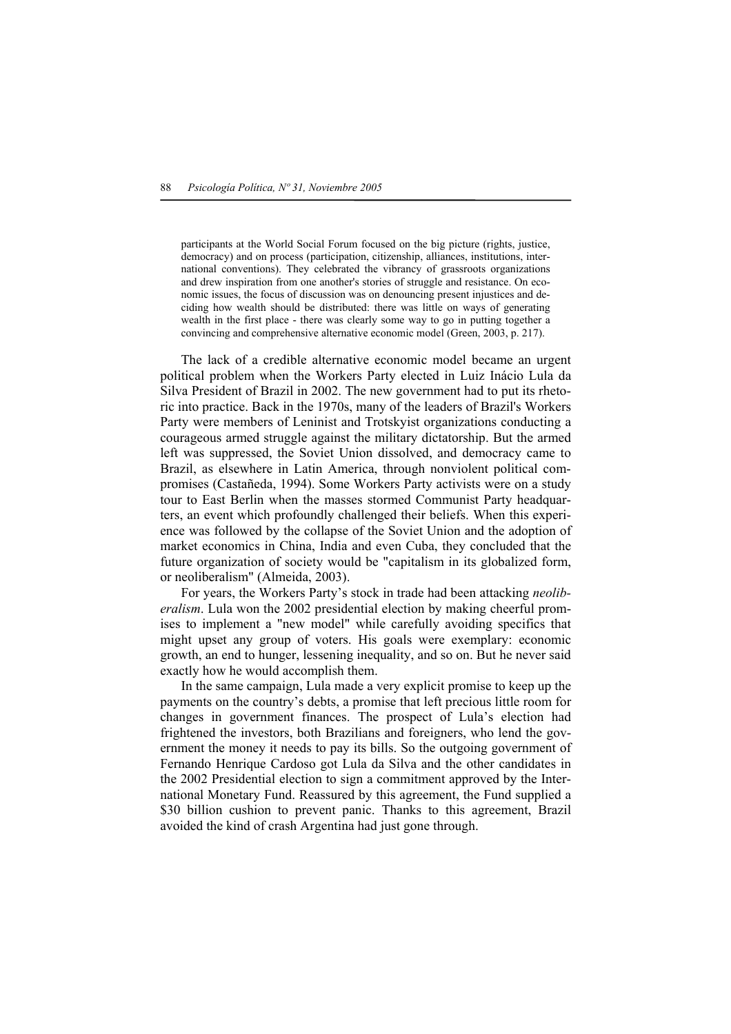participants at the World Social Forum focused on the big picture (rights, justice, democracy) and on process (participation, citizenship, alliances, institutions, international conventions). They celebrated the vibrancy of grassroots organizations and drew inspiration from one another's stories of struggle and resistance. On economic issues, the focus of discussion was on denouncing present injustices and deciding how wealth should be distributed: there was little on ways of generating wealth in the first place - there was clearly some way to go in putting together a convincing and comprehensive alternative economic model (Green, 2003, p. 217).

 The lack of a credible alternative economic model became an urgent political problem when the Workers Party elected in Luiz Inácio Lula da Silva President of Brazil in 2002. The new government had to put its rhetoric into practice. Back in the 1970s, many of the leaders of Brazil's Workers Party were members of Leninist and Trotskyist organizations conducting a courageous armed struggle against the military dictatorship. But the armed left was suppressed, the Soviet Union dissolved, and democracy came to Brazil, as elsewhere in Latin America, through nonviolent political compromises (Castañeda, 1994). Some Workers Party activists were on a study tour to East Berlin when the masses stormed Communist Party headquarters, an event which profoundly challenged their beliefs. When this experience was followed by the collapse of the Soviet Union and the adoption of market economics in China, India and even Cuba, they concluded that the future organization of society would be "capitalism in its globalized form, or neoliberalism" (Almeida, 2003).

 For years, the Workers Party's stock in trade had been attacking *neoliberalism*. Lula won the 2002 presidential election by making cheerful promises to implement a "new model" while carefully avoiding specifics that might upset any group of voters. His goals were exemplary: economic growth, an end to hunger, lessening inequality, and so on. But he never said exactly how he would accomplish them.

 In the same campaign, Lula made a very explicit promise to keep up the payments on the country's debts, a promise that left precious little room for changes in government finances. The prospect of Lula's election had frightened the investors, both Brazilians and foreigners, who lend the government the money it needs to pay its bills. So the outgoing government of Fernando Henrique Cardoso got Lula da Silva and the other candidates in the 2002 Presidential election to sign a commitment approved by the International Monetary Fund. Reassured by this agreement, the Fund supplied a \$30 billion cushion to prevent panic. Thanks to this agreement, Brazil avoided the kind of crash Argentina had just gone through.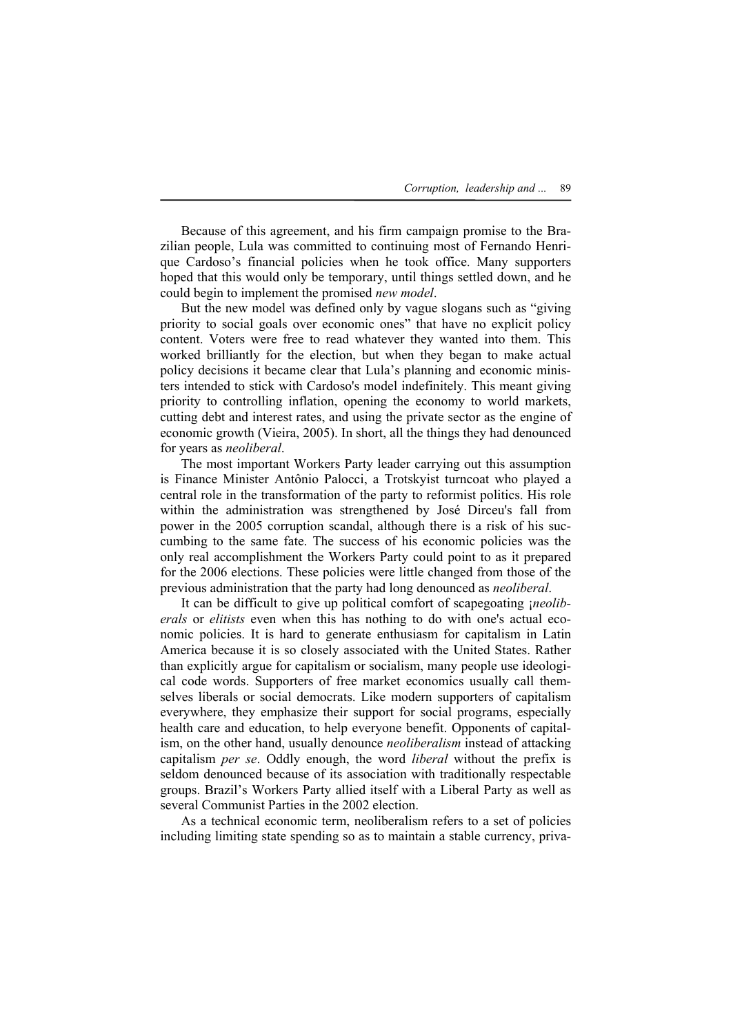Because of this agreement, and his firm campaign promise to the Brazilian people, Lula was committed to continuing most of Fernando Henrique Cardoso's financial policies when he took office. Many supporters hoped that this would only be temporary, until things settled down, and he could begin to implement the promised *new model*.

 But the new model was defined only by vague slogans such as "giving priority to social goals over economic ones" that have no explicit policy content. Voters were free to read whatever they wanted into them. This worked brilliantly for the election, but when they began to make actual policy decisions it became clear that Lula's planning and economic ministers intended to stick with Cardoso's model indefinitely. This meant giving priority to controlling inflation, opening the economy to world markets, cutting debt and interest rates, and using the private sector as the engine of economic growth (Vieira, 2005). In short, all the things they had denounced for years as *neoliberal*.

 The most important Workers Party leader carrying out this assumption is Finance Minister Antônio Palocci, a Trotskyist turncoat who played a central role in the transformation of the party to reformist politics. His role within the administration was strengthened by José Dirceu's fall from power in the 2005 corruption scandal, although there is a risk of his succumbing to the same fate. The success of his economic policies was the only real accomplishment the Workers Party could point to as it prepared for the 2006 elections. These policies were little changed from those of the previous administration that the party had long denounced as *neoliberal*.

 It can be difficult to give up political comfort of scapegoating ¡*neoliberals* or *elitists* even when this has nothing to do with one's actual economic policies. It is hard to generate enthusiasm for capitalism in Latin America because it is so closely associated with the United States. Rather than explicitly argue for capitalism or socialism, many people use ideological code words. Supporters of free market economics usually call themselves liberals or social democrats. Like modern supporters of capitalism everywhere, they emphasize their support for social programs, especially health care and education, to help everyone benefit. Opponents of capitalism, on the other hand, usually denounce *neoliberalism* instead of attacking capitalism *per se*. Oddly enough, the word *liberal* without the prefix is seldom denounced because of its association with traditionally respectable groups. Brazil's Workers Party allied itself with a Liberal Party as well as several Communist Parties in the 2002 election.

 As a technical economic term, neoliberalism refers to a set of policies including limiting state spending so as to maintain a stable currency, priva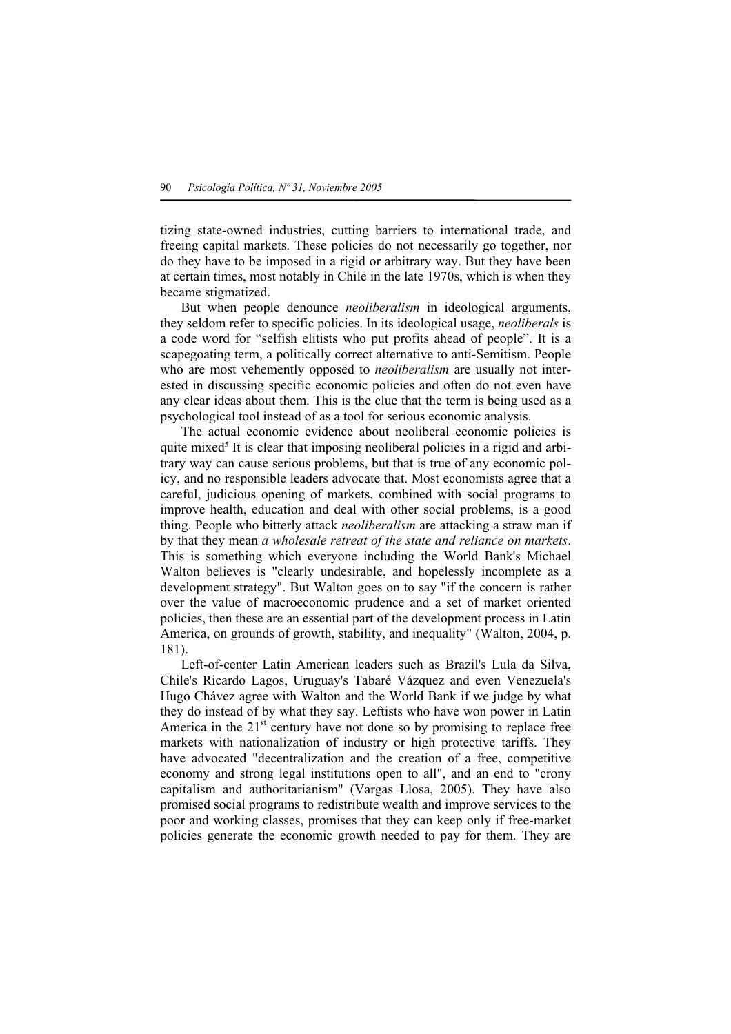tizing state-owned industries, cutting barriers to international trade, and freeing capital markets. These policies do not necessarily go together, nor do they have to be imposed in a rigid or arbitrary way. But they have been at certain times, most notably in Chile in the late 1970s, which is when they became stigmatized.

 But when people denounce *neoliberalism* in ideological arguments, they seldom refer to specific policies. In its ideological usage, *neoliberals* is a code word for "selfish elitists who put profits ahead of people". It is a scapegoating term, a politically correct alternative to anti-Semitism. People who are most vehemently opposed to *neoliberalism* are usually not interested in discussing specific economic policies and often do not even have any clear ideas about them. This is the clue that the term is being used as a psychological tool instead of as a tool for serious economic analysis.

 The actual economic evidence about neoliberal economic policies is quite mixed<sup>5</sup> It is clear that imposing neoliberal policies in a rigid and arbitrary way can cause serious problems, but that is true of any economic policy, and no responsible leaders advocate that. Most economists agree that a careful, judicious opening of markets, combined with social programs to improve health, education and deal with other social problems, is a good thing. People who bitterly attack *neoliberalism* are attacking a straw man if by that they mean *a wholesale retreat of the state and reliance on markets*. This is something which everyone including the World Bank's Michael Walton believes is "clearly undesirable, and hopelessly incomplete as a development strategy". But Walton goes on to say "if the concern is rather over the value of macroeconomic prudence and a set of market oriented policies, then these are an essential part of the development process in Latin America, on grounds of growth, stability, and inequality" (Walton, 2004, p. 181).

 Left-of-center Latin American leaders such as Brazil's Lula da Silva, Chile's Ricardo Lagos, Uruguay's Tabaré Vázquez and even Venezuela's Hugo Chávez agree with Walton and the World Bank if we judge by what they do instead of by what they say. Leftists who have won power in Latin America in the  $21<sup>st</sup>$  century have not done so by promising to replace free markets with nationalization of industry or high protective tariffs. They have advocated "decentralization and the creation of a free, competitive economy and strong legal institutions open to all", and an end to "crony capitalism and authoritarianism" (Vargas Llosa, 2005). They have also promised social programs to redistribute wealth and improve services to the poor and working classes, promises that they can keep only if free-market policies generate the economic growth needed to pay for them. They are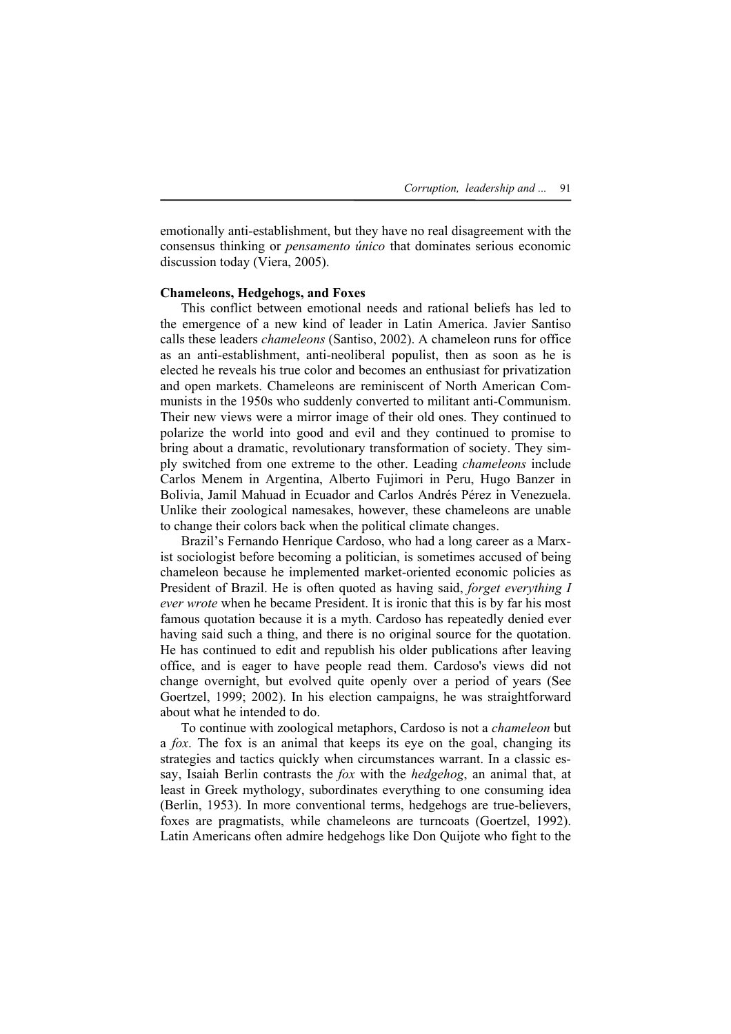emotionally anti-establishment, but they have no real disagreement with the consensus thinking or *pensamento único* that dominates serious economic discussion today (Viera, 2005).

# **Chameleons, Hedgehogs, and Foxes**

 This conflict between emotional needs and rational beliefs has led to the emergence of a new kind of leader in Latin America. Javier Santiso calls these leaders *chameleons* (Santiso, 2002). A chameleon runs for office as an anti-establishment, anti-neoliberal populist, then as soon as he is elected he reveals his true color and becomes an enthusiast for privatization and open markets. Chameleons are reminiscent of North American Communists in the 1950s who suddenly converted to militant anti-Communism. Their new views were a mirror image of their old ones. They continued to polarize the world into good and evil and they continued to promise to bring about a dramatic, revolutionary transformation of society. They simply switched from one extreme to the other. Leading *chameleons* include Carlos Menem in Argentina, Alberto Fujimori in Peru, Hugo Banzer in Bolivia, Jamil Mahuad in Ecuador and Carlos Andrés Pérez in Venezuela. Unlike their zoological namesakes, however, these chameleons are unable to change their colors back when the political climate changes.

 Brazil's Fernando Henrique Cardoso, who had a long career as a Marxist sociologist before becoming a politician, is sometimes accused of being chameleon because he implemented market-oriented economic policies as President of Brazil. He is often quoted as having said, *forget everything I ever wrote* when he became President. It is ironic that this is by far his most famous quotation because it is a myth. Cardoso has repeatedly denied ever having said such a thing, and there is no original source for the quotation. He has continued to edit and republish his older publications after leaving office, and is eager to have people read them. Cardoso's views did not change overnight, but evolved quite openly over a period of years (See Goertzel, 1999; 2002). In his election campaigns, he was straightforward about what he intended to do.

 To continue with zoological metaphors, Cardoso is not a *chameleon* but a *fox*. The fox is an animal that keeps its eye on the goal, changing its strategies and tactics quickly when circumstances warrant. In a classic essay, Isaiah Berlin contrasts the *fox* with the *hedgehog*, an animal that, at least in Greek mythology, subordinates everything to one consuming idea (Berlin, 1953). In more conventional terms, hedgehogs are true-believers, foxes are pragmatists, while chameleons are turncoats (Goertzel, 1992). Latin Americans often admire hedgehogs like Don Quijote who fight to the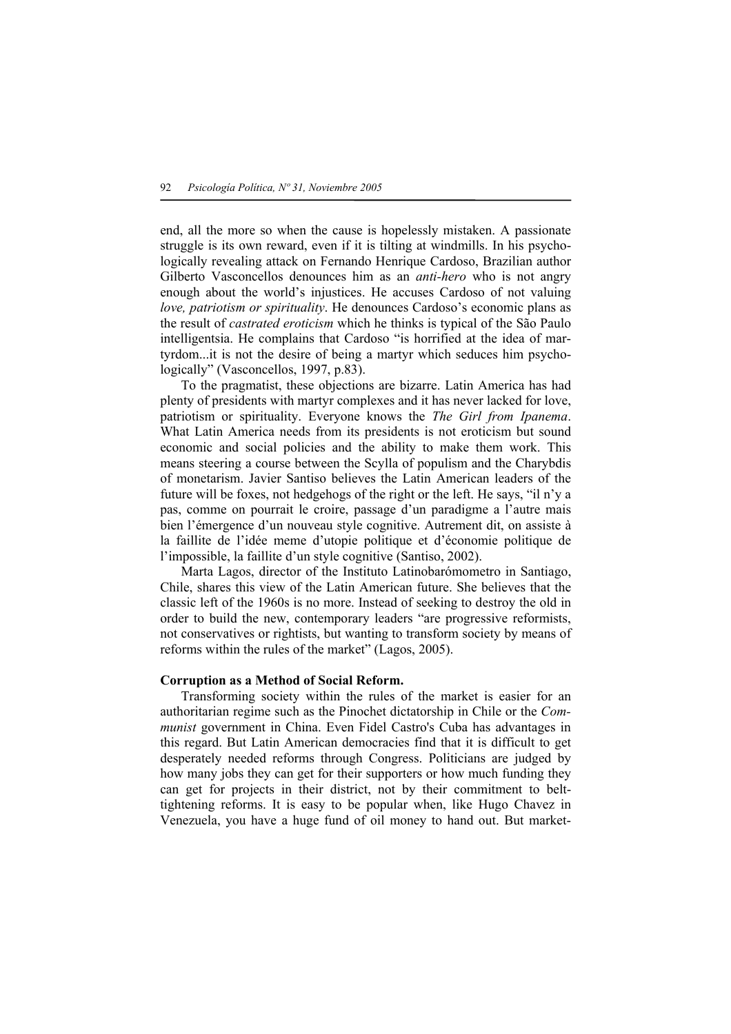end, all the more so when the cause is hopelessly mistaken. A passionate struggle is its own reward, even if it is tilting at windmills. In his psychologically revealing attack on Fernando Henrique Cardoso, Brazilian author Gilberto Vasconcellos denounces him as an *anti-hero* who is not angry enough about the world's injustices. He accuses Cardoso of not valuing *love, patriotism or spirituality*. He denounces Cardoso's economic plans as the result of *castrated eroticism* which he thinks is typical of the São Paulo intelligentsia. He complains that Cardoso "is horrified at the idea of martyrdom...it is not the desire of being a martyr which seduces him psychologically" (Vasconcellos, 1997, p.83).

 To the pragmatist, these objections are bizarre. Latin America has had plenty of presidents with martyr complexes and it has never lacked for love, patriotism or spirituality. Everyone knows the *The Girl from Ipanema*. What Latin America needs from its presidents is not eroticism but sound economic and social policies and the ability to make them work. This means steering a course between the Scylla of populism and the Charybdis of monetarism. Javier Santiso believes the Latin American leaders of the future will be foxes, not hedgehogs of the right or the left. He says, "il n'y a pas, comme on pourrait le croire, passage d'un paradigme a l'autre mais bien l'émergence d'un nouveau style cognitive. Autrement dit, on assiste à la faillite de l'idée meme d'utopie politique et d'économie politique de l'impossible, la faillite d'un style cognitive (Santiso, 2002).

 Marta Lagos, director of the Instituto Latinobarómometro in Santiago, Chile, shares this view of the Latin American future. She believes that the classic left of the 1960s is no more. Instead of seeking to destroy the old in order to build the new, contemporary leaders "are progressive reformists, not conservatives or rightists, but wanting to transform society by means of reforms within the rules of the market" (Lagos, 2005).

# **Corruption as a Method of Social Reform.**

 Transforming society within the rules of the market is easier for an authoritarian regime such as the Pinochet dictatorship in Chile or the *Communist* government in China. Even Fidel Castro's Cuba has advantages in this regard. But Latin American democracies find that it is difficult to get desperately needed reforms through Congress. Politicians are judged by how many jobs they can get for their supporters or how much funding they can get for projects in their district, not by their commitment to belttightening reforms. It is easy to be popular when, like Hugo Chavez in Venezuela, you have a huge fund of oil money to hand out. But market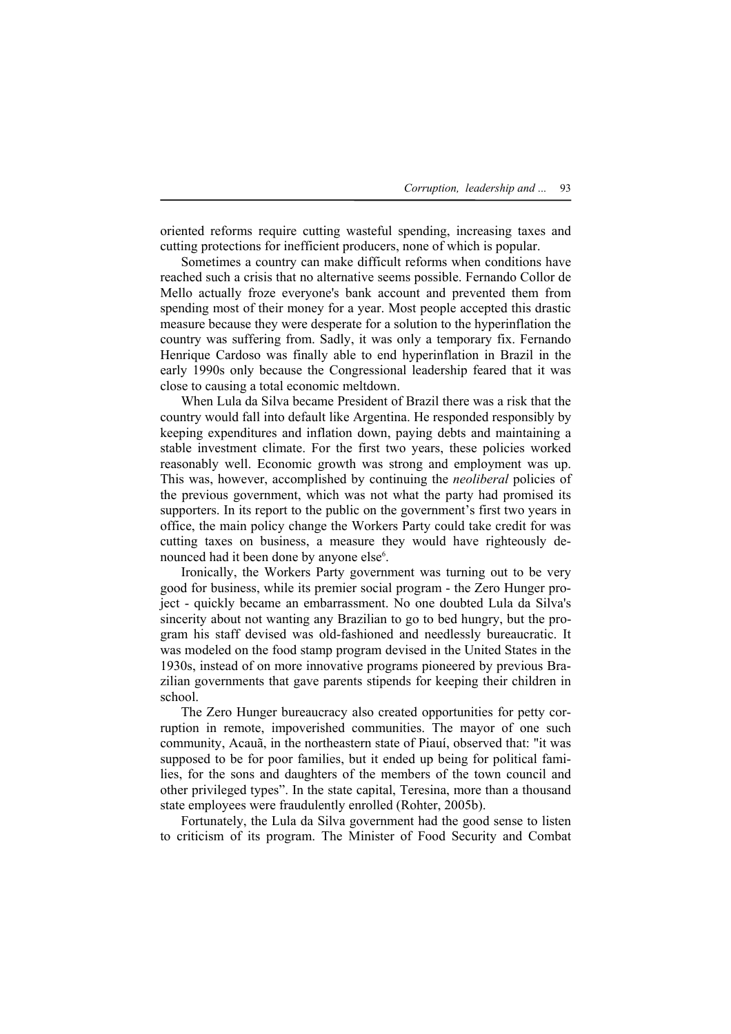oriented reforms require cutting wasteful spending, increasing taxes and cutting protections for inefficient producers, none of which is popular.

 Sometimes a country can make difficult reforms when conditions have reached such a crisis that no alternative seems possible. Fernando Collor de Mello actually froze everyone's bank account and prevented them from spending most of their money for a year. Most people accepted this drastic measure because they were desperate for a solution to the hyperinflation the country was suffering from. Sadly, it was only a temporary fix. Fernando Henrique Cardoso was finally able to end hyperinflation in Brazil in the early 1990s only because the Congressional leadership feared that it was close to causing a total economic meltdown.

 When Lula da Silva became President of Brazil there was a risk that the country would fall into default like Argentina. He responded responsibly by keeping expenditures and inflation down, paying debts and maintaining a stable investment climate. For the first two years, these policies worked reasonably well. Economic growth was strong and employment was up. This was, however, accomplished by continuing the *neoliberal* policies of the previous government, which was not what the party had promised its supporters. In its report to the public on the government's first two years in office, the main policy change the Workers Party could take credit for was cutting taxes on business, a measure they would have righteously denounced had it been done by anyone else<sup>6</sup>.

 Ironically, the Workers Party government was turning out to be very good for business, while its premier social program - the Zero Hunger project - quickly became an embarrassment. No one doubted Lula da Silva's sincerity about not wanting any Brazilian to go to bed hungry, but the program his staff devised was old-fashioned and needlessly bureaucratic. It was modeled on the food stamp program devised in the United States in the 1930s, instead of on more innovative programs pioneered by previous Brazilian governments that gave parents stipends for keeping their children in school.

 The Zero Hunger bureaucracy also created opportunities for petty corruption in remote, impoverished communities. The mayor of one such community, Acauã, in the northeastern state of Piauí, observed that: "it was supposed to be for poor families, but it ended up being for political families, for the sons and daughters of the members of the town council and other privileged types". In the state capital, Teresina, more than a thousand state employees were fraudulently enrolled (Rohter, 2005b).

 Fortunately, the Lula da Silva government had the good sense to listen to criticism of its program. The Minister of Food Security and Combat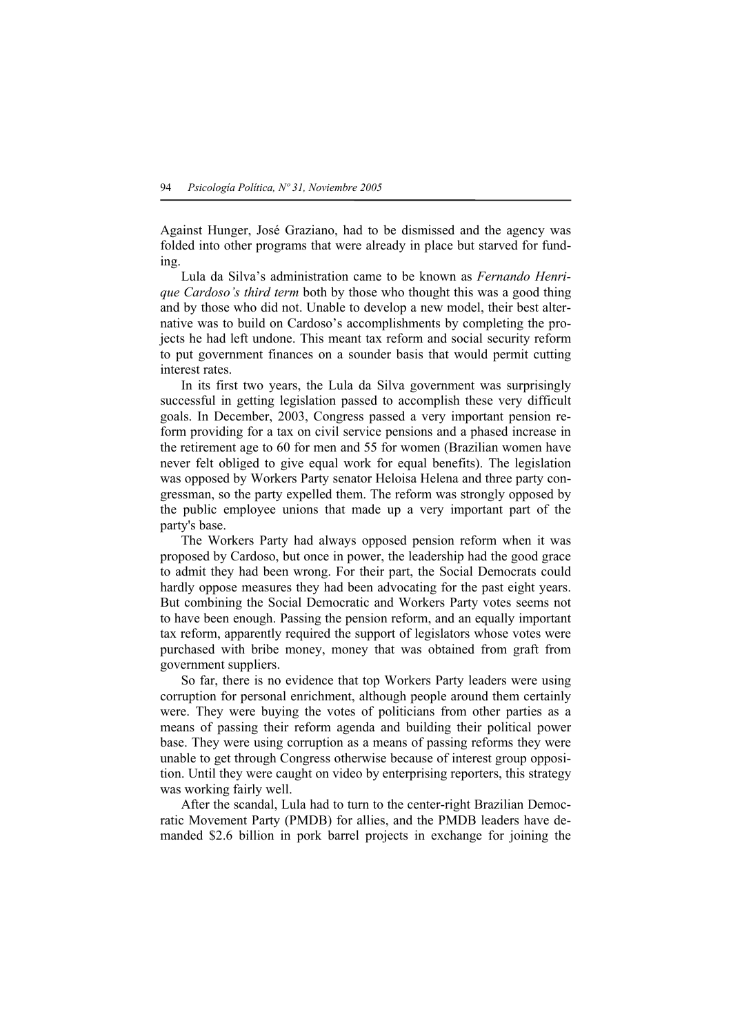Against Hunger, José Graziano, had to be dismissed and the agency was folded into other programs that were already in place but starved for funding.

 Lula da Silva's administration came to be known as *Fernando Henrique Cardoso's third term* both by those who thought this was a good thing and by those who did not. Unable to develop a new model, their best alternative was to build on Cardoso's accomplishments by completing the projects he had left undone. This meant tax reform and social security reform to put government finances on a sounder basis that would permit cutting interest rates.

 In its first two years, the Lula da Silva government was surprisingly successful in getting legislation passed to accomplish these very difficult goals. In December, 2003, Congress passed a very important pension reform providing for a tax on civil service pensions and a phased increase in the retirement age to 60 for men and 55 for women (Brazilian women have never felt obliged to give equal work for equal benefits). The legislation was opposed by Workers Party senator Heloisa Helena and three party congressman, so the party expelled them. The reform was strongly opposed by the public employee unions that made up a very important part of the party's base.

 The Workers Party had always opposed pension reform when it was proposed by Cardoso, but once in power, the leadership had the good grace to admit they had been wrong. For their part, the Social Democrats could hardly oppose measures they had been advocating for the past eight years. But combining the Social Democratic and Workers Party votes seems not to have been enough. Passing the pension reform, and an equally important tax reform, apparently required the support of legislators whose votes were purchased with bribe money, money that was obtained from graft from government suppliers.

 So far, there is no evidence that top Workers Party leaders were using corruption for personal enrichment, although people around them certainly were. They were buying the votes of politicians from other parties as a means of passing their reform agenda and building their political power base. They were using corruption as a means of passing reforms they were unable to get through Congress otherwise because of interest group opposition. Until they were caught on video by enterprising reporters, this strategy was working fairly well.

 After the scandal, Lula had to turn to the center-right Brazilian Democratic Movement Party (PMDB) for allies, and the PMDB leaders have demanded \$2.6 billion in pork barrel projects in exchange for joining the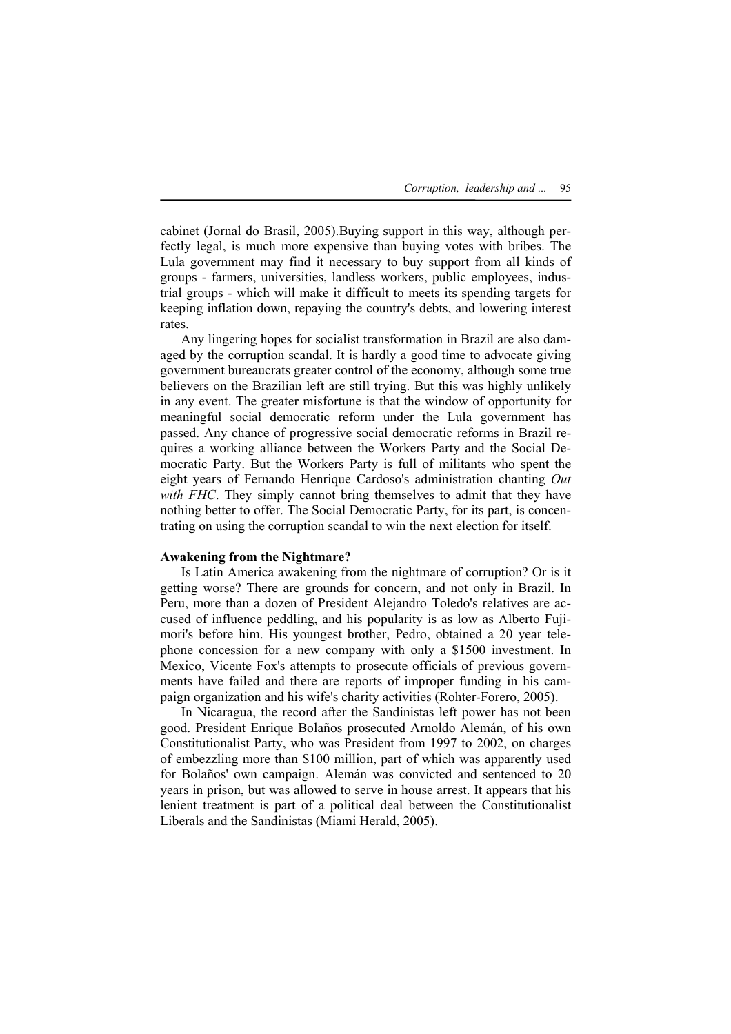cabinet (Jornal do Brasil, 2005).Buying support in this way, although perfectly legal, is much more expensive than buying votes with bribes. The Lula government may find it necessary to buy support from all kinds of groups - farmers, universities, landless workers, public employees, industrial groups - which will make it difficult to meets its spending targets for keeping inflation down, repaying the country's debts, and lowering interest rates.

 Any lingering hopes for socialist transformation in Brazil are also damaged by the corruption scandal. It is hardly a good time to advocate giving government bureaucrats greater control of the economy, although some true believers on the Brazilian left are still trying. But this was highly unlikely in any event. The greater misfortune is that the window of opportunity for meaningful social democratic reform under the Lula government has passed. Any chance of progressive social democratic reforms in Brazil requires a working alliance between the Workers Party and the Social Democratic Party. But the Workers Party is full of militants who spent the eight years of Fernando Henrique Cardoso's administration chanting *Out with FHC*. They simply cannot bring themselves to admit that they have nothing better to offer. The Social Democratic Party, for its part, is concentrating on using the corruption scandal to win the next election for itself.

## **Awakening from the Nightmare?**

 Is Latin America awakening from the nightmare of corruption? Or is it getting worse? There are grounds for concern, and not only in Brazil. In Peru, more than a dozen of President Alejandro Toledo's relatives are accused of influence peddling, and his popularity is as low as Alberto Fujimori's before him. His youngest brother, Pedro, obtained a 20 year telephone concession for a new company with only a \$1500 investment. In Mexico, Vicente Fox's attempts to prosecute officials of previous governments have failed and there are reports of improper funding in his campaign organization and his wife's charity activities (Rohter-Forero, 2005).

 In Nicaragua, the record after the Sandinistas left power has not been good. President Enrique Bolaños prosecuted Arnoldo Alemán, of his own Constitutionalist Party, who was President from 1997 to 2002, on charges of embezzling more than \$100 million, part of which was apparently used for Bolaños' own campaign. Alemán was convicted and sentenced to 20 years in prison, but was allowed to serve in house arrest. It appears that his lenient treatment is part of a political deal between the Constitutionalist Liberals and the Sandinistas (Miami Herald, 2005).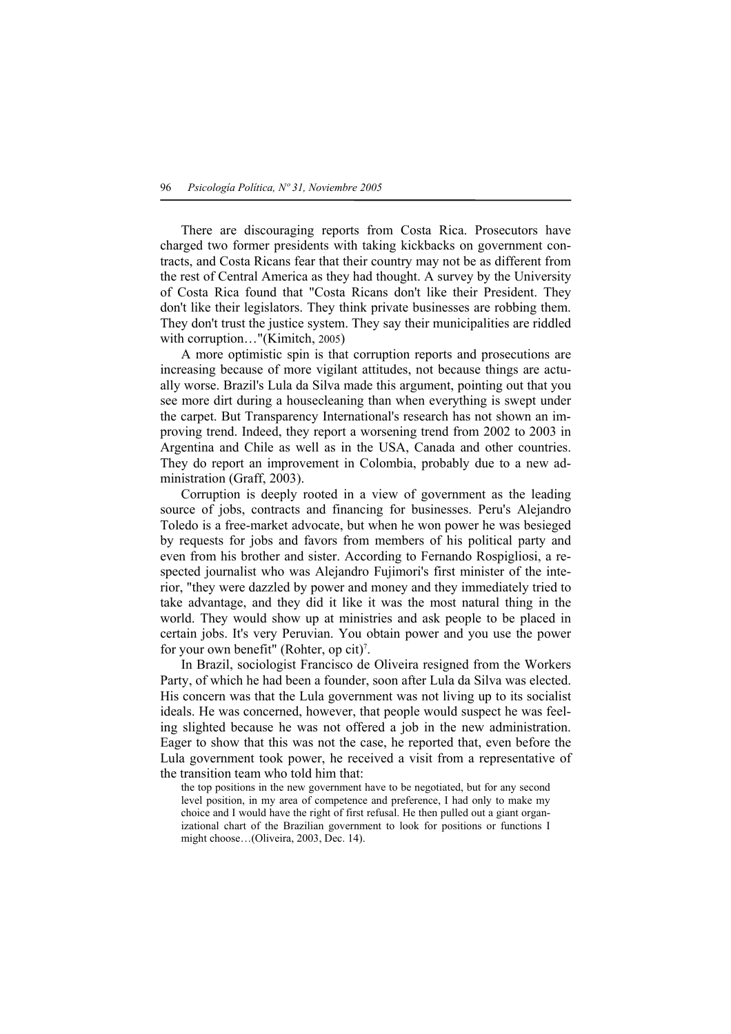There are discouraging reports from Costa Rica. Prosecutors have charged two former presidents with taking kickbacks on government contracts, and Costa Ricans fear that their country may not be as different from the rest of Central America as they had thought. A survey by the University of Costa Rica found that "Costa Ricans don't like their President. They don't like their legislators. They think private businesses are robbing them. They don't trust the justice system. They say their municipalities are riddled with corruption…"(Kimitch, 2005)

 A more optimistic spin is that corruption reports and prosecutions are increasing because of more vigilant attitudes, not because things are actually worse. Brazil's Lula da Silva made this argument, pointing out that you see more dirt during a housecleaning than when everything is swept under the carpet. But Transparency International's research has not shown an improving trend. Indeed, they report a worsening trend from 2002 to 2003 in Argentina and Chile as well as in the USA, Canada and other countries. They do report an improvement in Colombia, probably due to a new administration (Graff, 2003).

 Corruption is deeply rooted in a view of government as the leading source of jobs, contracts and financing for businesses. Peru's Alejandro Toledo is a free-market advocate, but when he won power he was besieged by requests for jobs and favors from members of his political party and even from his brother and sister. According to Fernando Rospigliosi, a respected journalist who was Alejandro Fujimori's first minister of the interior, "they were dazzled by power and money and they immediately tried to take advantage, and they did it like it was the most natural thing in the world. They would show up at ministries and ask people to be placed in certain jobs. It's very Peruvian. You obtain power and you use the power for your own benefit" (Rohter, op cit)<sup>7</sup>.

 In Brazil, sociologist Francisco de Oliveira resigned from the Workers Party, of which he had been a founder, soon after Lula da Silva was elected. His concern was that the Lula government was not living up to its socialist ideals. He was concerned, however, that people would suspect he was feeling slighted because he was not offered a job in the new administration. Eager to show that this was not the case, he reported that, even before the Lula government took power, he received a visit from a representative of the transition team who told him that:

the top positions in the new government have to be negotiated, but for any second level position, in my area of competence and preference, I had only to make my choice and I would have the right of first refusal. He then pulled out a giant organizational chart of the Brazilian government to look for positions or functions I might choose…(Oliveira, 2003, Dec. 14).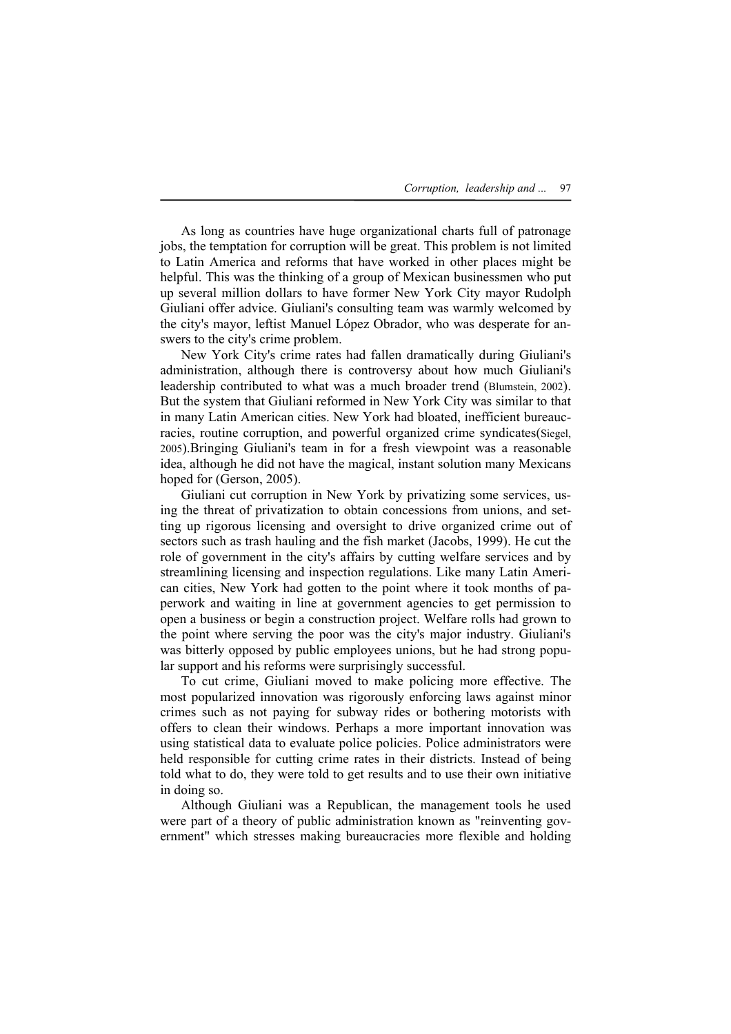As long as countries have huge organizational charts full of patronage jobs, the temptation for corruption will be great. This problem is not limited to Latin America and reforms that have worked in other places might be helpful. This was the thinking of a group of Mexican businessmen who put up several million dollars to have former New York City mayor Rudolph Giuliani offer advice. Giuliani's consulting team was warmly welcomed by the city's mayor, leftist Manuel López Obrador, who was desperate for answers to the city's crime problem.

 New York City's crime rates had fallen dramatically during Giuliani's administration, although there is controversy about how much Giuliani's leadership contributed to what was a much broader trend (Blumstein, 2002). But the system that Giuliani reformed in New York City was similar to that in many Latin American cities. New York had bloated, inefficient bureaucracies, routine corruption, and powerful organized crime syndicates(Siegel, 2005).Bringing Giuliani's team in for a fresh viewpoint was a reasonable idea, although he did not have the magical, instant solution many Mexicans hoped for (Gerson, 2005).

 Giuliani cut corruption in New York by privatizing some services, using the threat of privatization to obtain concessions from unions, and setting up rigorous licensing and oversight to drive organized crime out of sectors such as trash hauling and the fish market (Jacobs, 1999). He cut the role of government in the city's affairs by cutting welfare services and by streamlining licensing and inspection regulations. Like many Latin American cities, New York had gotten to the point where it took months of paperwork and waiting in line at government agencies to get permission to open a business or begin a construction project. Welfare rolls had grown to the point where serving the poor was the city's major industry. Giuliani's was bitterly opposed by public employees unions, but he had strong popular support and his reforms were surprisingly successful.

 To cut crime, Giuliani moved to make policing more effective. The most popularized innovation was rigorously enforcing laws against minor crimes such as not paying for subway rides or bothering motorists with offers to clean their windows. Perhaps a more important innovation was using statistical data to evaluate police policies. Police administrators were held responsible for cutting crime rates in their districts. Instead of being told what to do, they were told to get results and to use their own initiative in doing so.

 Although Giuliani was a Republican, the management tools he used were part of a theory of public administration known as "reinventing government" which stresses making bureaucracies more flexible and holding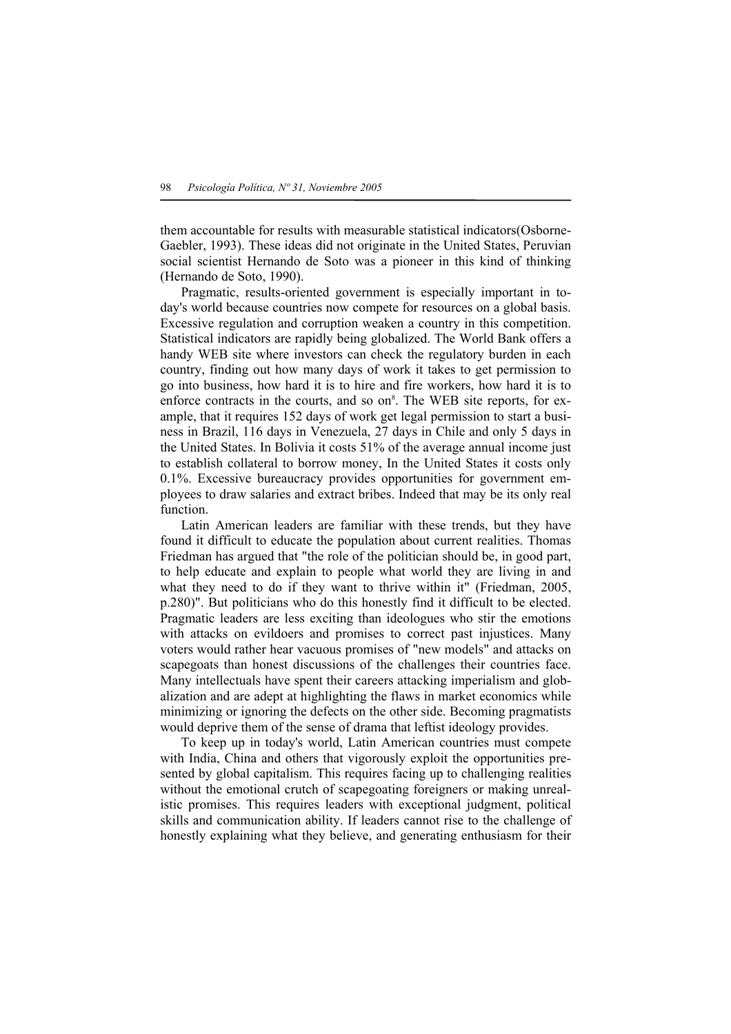them accountable for results with measurable statistical indicators(Osborne-Gaebler, 1993). These ideas did not originate in the United States, Peruvian social scientist Hernando de Soto was a pioneer in this kind of thinking (Hernando de Soto, 1990).

 Pragmatic, results-oriented government is especially important in today's world because countries now compete for resources on a global basis. Excessive regulation and corruption weaken a country in this competition. Statistical indicators are rapidly being globalized. The World Bank offers a handy WEB site where investors can check the regulatory burden in each country, finding out how many days of work it takes to get permission to go into business, how hard it is to hire and fire workers, how hard it is to enforce contracts in the courts, and so on<sup>8</sup>. The WEB site reports, for example, that it requires 152 days of work get legal permission to start a business in Brazil, 116 days in Venezuela, 27 days in Chile and only 5 days in the United States. In Bolivia it costs 51% of the average annual income just to establish collateral to borrow money, In the United States it costs only 0.1%. Excessive bureaucracy provides opportunities for government employees to draw salaries and extract bribes. Indeed that may be its only real function.

 Latin American leaders are familiar with these trends, but they have found it difficult to educate the population about current realities. Thomas Friedman has argued that "the role of the politician should be, in good part, to help educate and explain to people what world they are living in and what they need to do if they want to thrive within it" (Friedman, 2005, p.280)". But politicians who do this honestly find it difficult to be elected. Pragmatic leaders are less exciting than ideologues who stir the emotions with attacks on evildoers and promises to correct past injustices. Many voters would rather hear vacuous promises of "new models" and attacks on scapegoats than honest discussions of the challenges their countries face. Many intellectuals have spent their careers attacking imperialism and globalization and are adept at highlighting the flaws in market economics while minimizing or ignoring the defects on the other side. Becoming pragmatists would deprive them of the sense of drama that leftist ideology provides.

 To keep up in today's world, Latin American countries must compete with India, China and others that vigorously exploit the opportunities presented by global capitalism. This requires facing up to challenging realities without the emotional crutch of scapegoating foreigners or making unrealistic promises. This requires leaders with exceptional judgment, political skills and communication ability. If leaders cannot rise to the challenge of honestly explaining what they believe, and generating enthusiasm for their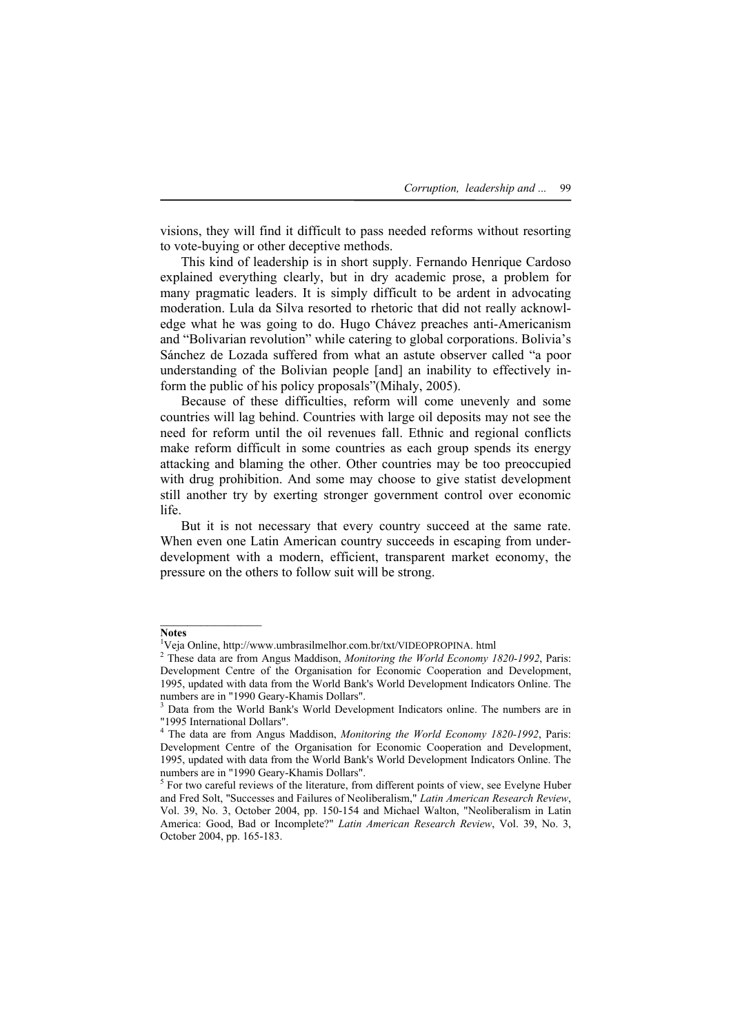visions, they will find it difficult to pass needed reforms without resorting to vote-buying or other deceptive methods.

 This kind of leadership is in short supply. Fernando Henrique Cardoso explained everything clearly, but in dry academic prose, a problem for many pragmatic leaders. It is simply difficult to be ardent in advocating moderation. Lula da Silva resorted to rhetoric that did not really acknowledge what he was going to do. Hugo Chávez preaches anti-Americanism and "Bolivarian revolution" while catering to global corporations. Bolivia's Sánchez de Lozada suffered from what an astute observer called "a poor understanding of the Bolivian people [and] an inability to effectively inform the public of his policy proposals"(Mihaly, 2005).

 Because of these difficulties, reform will come unevenly and some countries will lag behind. Countries with large oil deposits may not see the need for reform until the oil revenues fall. Ethnic and regional conflicts make reform difficult in some countries as each group spends its energy attacking and blaming the other. Other countries may be too preoccupied with drug prohibition. And some may choose to give statist development still another try by exerting stronger government control over economic life.

 But it is not necessary that every country succeed at the same rate. When even one Latin American country succeeds in escaping from underdevelopment with a modern, efficient, transparent market economy, the pressure on the others to follow suit will be strong.

 $\mathcal{L}_\text{max}$ 

**Notes** 

<sup>&</sup>lt;sup>1</sup>Veja Online, http://www.umbrasilmelhor.com.br/txt/VIDEOPROPINA. html<br><sup>2</sup> These data are from Angus Meddison. Menitoring the World Feanemy 1

These data are from Angus Maddison, *Monitoring the World Economy 1820-1992*, Paris: Development Centre of the Organisation for Economic Cooperation and Development, 1995, updated with data from the World Bank's World Development Indicators Online. The numbers are in "1990 Geary-Khamis Dollars". 3

<sup>&</sup>lt;sup>3</sup> Data from the World Bank's World Development Indicators online. The numbers are in "1995 International Dollars".

<sup>4</sup> The data are from Angus Maddison, *Monitoring the World Economy 1820-1992*, Paris: Development Centre of the Organisation for Economic Cooperation and Development, 1995, updated with data from the World Bank's World Development Indicators Online. The numbers are in "1990 Geary-Khamis Dollars". 5

<sup>&</sup>lt;sup>5</sup> For two careful reviews of the literature, from different points of view, see Evelyne Huber and Fred Solt, "Successes and Failures of Neoliberalism," *Latin American Research Review*, Vol. 39, No. 3, October 2004, pp. 150-154 and Michael Walton, "Neoliberalism in Latin America: Good, Bad or Incomplete?" *Latin American Research Review*, Vol. 39, No. 3, October 2004, pp. 165-183.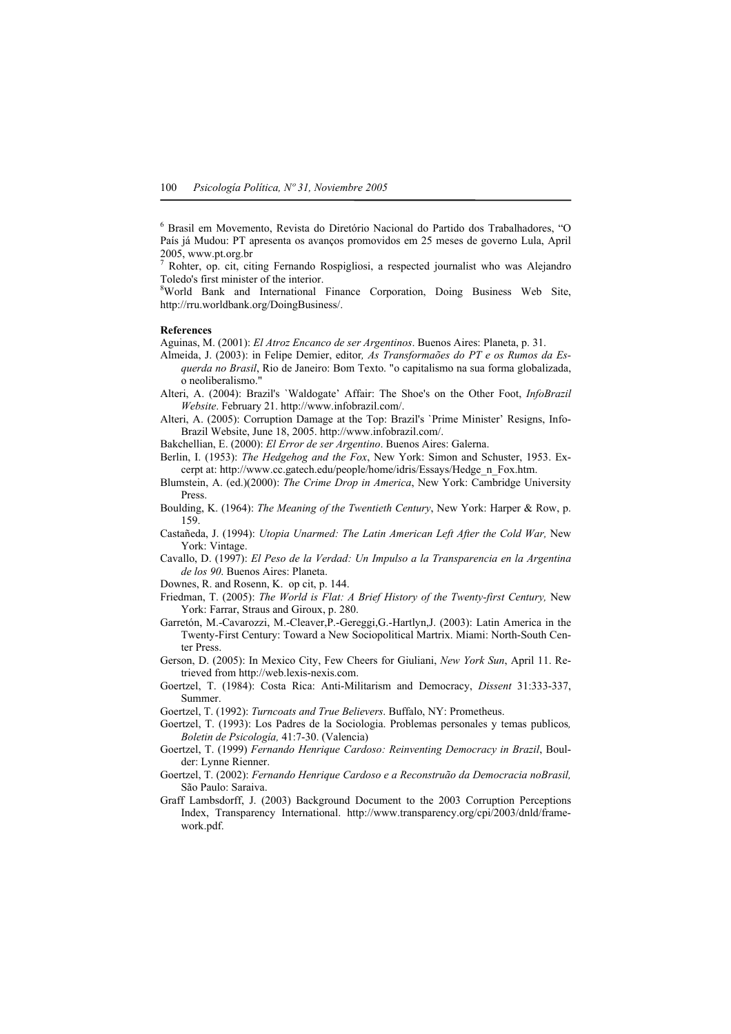6 Brasil em Movemento, Revista do Diretório Nacional do Partido dos Trabalhadores, "O País já Mudou: PT apresenta os avanços promovidos em 25 meses de governo Lula, April 2005, www.pt.org.br

7 Rohter, op. cit, citing Fernando Rospigliosi, a respected journalist who was Alejandro Toledo's first minister of the interior.

<sup>8</sup>World Bank and International Finance Corporation, Doing Business Web Site, http://rru.worldbank.org/DoingBusiness/.

#### **References**

Aguinas, M. (2001): *El Atroz Encanco de ser Argentinos*. Buenos Aires: Planeta, p. 31.

- Almeida, J. (2003): in Felipe Demier, editor*, As Transformaões do PT e os Rumos da Esquerda no Brasil*, Rio de Janeiro: Bom Texto. "o capitalismo na sua forma globalizada, o neoliberalismo."
- Alteri, A. (2004): Brazil's `Waldogate' Affair: The Shoe's on the Other Foot, *InfoBrazil Website*. February 21. http://www.infobrazil.com/.
- Alteri, A. (2005): Corruption Damage at the Top: Brazil's `Prime Minister' Resigns, Info-Brazil Website, June 18, 2005. http://www.infobrazil.com/.

Bakchellian, E. (2000): *El Error de ser Argentino*. Buenos Aires: Galerna.

Berlin, I. (1953): *The Hedgehog and the Fox*, New York: Simon and Schuster, 1953. Excerpt at: http://www.cc.gatech.edu/people/home/idris/Essays/Hedge\_n\_Fox.htm.

- Blumstein, A. (ed.)(2000): *The Crime Drop in America*, New York: Cambridge University Press.
- Boulding, K. (1964): *The Meaning of the Twentieth Century*, New York: Harper & Row, p. 159.
- Castañeda, J. (1994): *Utopia Unarmed: The Latin American Left After the Cold War,* New York: Vintage.
- Cavallo, D. (1997): *El Peso de la Verdad: Un Impulso a la Transparencia en la Argentina de los 90*. Buenos Aires: Planeta.

Downes, R. and Rosenn, K. op cit, p. 144.

- Friedman, T. (2005): *The World is Flat: A Brief History of the Twenty-first Century,* New York: Farrar, Straus and Giroux, p. 280.
- Garretón, M.-Cavarozzi, M.-Cleaver,P.-Gereggi,G.-Hartlyn,J. (2003): Latin America in the Twenty-First Century: Toward a New Sociopolitical Martrix. Miami: North-South Center Press.
- Gerson, D. (2005): In Mexico City, Few Cheers for Giuliani, *New York Sun*, April 11. Retrieved from http://web.lexis-nexis.com.
- Goertzel, T. (1984): Costa Rica: Anti-Militarism and Democracy, *Dissent* 31:333-337, Summer.

Goertzel, T. (1992): *Turncoats and True Believers*. Buffalo, NY: Prometheus.

- Goertzel, T. (1993): Los Padres de la Sociologia. Problemas personales y temas publicos*, Boletin de Psicología,* 41:7-30. (Valencia)
- Goertzel, T. (1999) *Fernando Henrique Cardoso: Reinventing Democracy in Brazil*, Boulder: Lynne Rienner.
- Goertzel, T. (2002): *Fernando Henrique Cardoso e a Reconstruão da Democracia noBrasil,*  São Paulo: Saraiva.
- Graff Lambsdorff, J. (2003) Background Document to the 2003 Corruption Perceptions Index, Transparency International. http://www.transparency.org/cpi/2003/dnld/framework.pdf.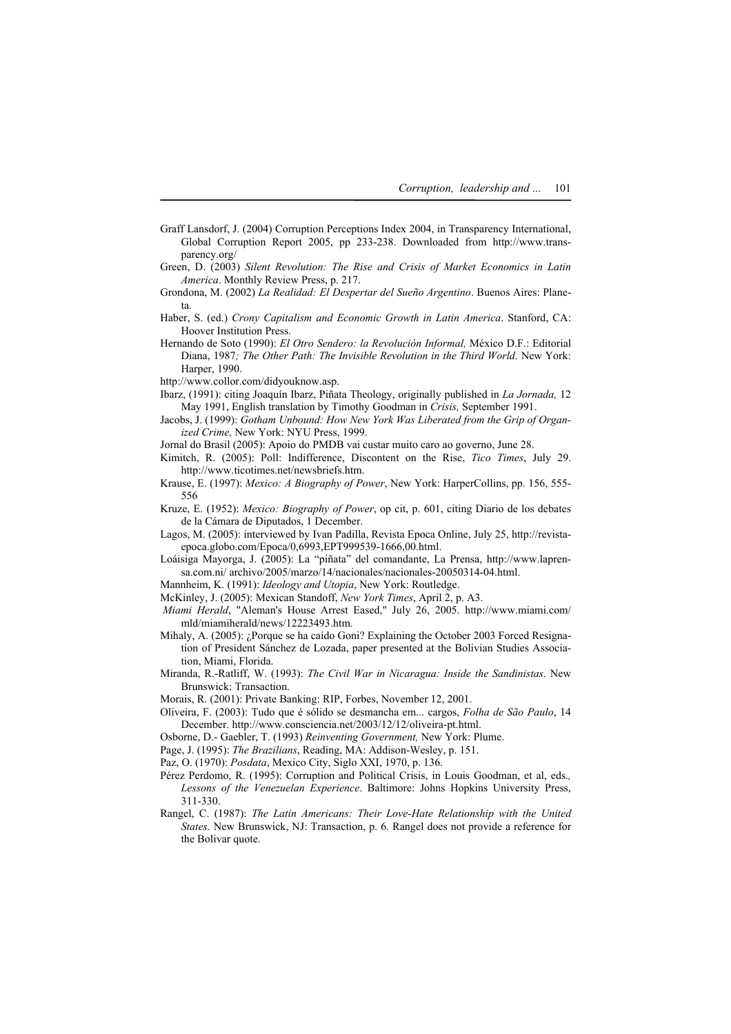- Graff Lansdorf, J. (2004) Corruption Perceptions Index 2004, in Transparency International, Global Corruption Report 2005, pp 233-238. Downloaded from http://www.transparency.org/
- Green, D. (2003) *Silent Revolution: The Rise and Crisis of Market Economics in Latin America*. Monthly Review Press, p. 217.
- Grondona, M. (2002) *La Realidad: El Despertar del Sueño Argentino*. Buenos Aires: Planeta.
- Haber, S. (ed.) *Crony Capitalism and Economic Growth in Latin America*. Stanford, CA: Hoover Institution Press.
- Hernando de Soto (1990): *El Otro Sendero: la Revolución Informal,* México D.F.: Editorial Diana, 1987*; The Other Path: The Invisible Revolution in the Third World*. New York: Harper, 1990.
- http://www.collor.com/didyouknow.asp.
- Ibarz, (1991): citing Joaquín Ibarz, Piñata Theology, originally published in *La Jornada,* 12 May 1991, English translation by Timothy Goodman in *Crisis,* September 1991.
- Jacobs, J. (1999): *Gotham Unbound: How New York Was Liberated from the Grip of Organized Crime,* New York: NYU Press, 1999.
- Jornal do Brasil (2005): Apoio do PMDB vai custar muito caro ao governo, June 28.
- Kimitch, R. (2005): Poll: Indifference, Discontent on the Rise, *Tico Times*, July 29. http://www.ticotimes.net/newsbriefs.htm.
- Krause, E. (1997): *Mexico: A Biography of Power*, New York: HarperCollins, pp. 156, 555- 556
- Kruze, E. (1952): *Mexico: Biography of Power*, op cit, p. 601, citing Diario de los debates de la Cámara de Diputados, 1 December.
- Lagos, M. (2005): interviewed by Ivan Padilla, Revista Epoca Online, July 25, http://revistaepoca.globo.com/Epoca/0,6993,EPT999539-1666,00.html.
- Loáisiga Mayorga, J. (2005): La "piñata" del comandante, La Prensa, http://www.laprensa.com.ni/ archivo/2005/marzo/14/nacionales/nacionales-20050314-04.html.
- Mannheim, K. (1991): *Ideology and Utopia*, New York: Routledge.
- McKinley, J. (2005): Mexican Standoff, *New York Times*, April 2, p. A3.
- *Miami Herald*, "Aleman's House Arrest Eased," July 26, 2005. http://www.miami.com/ mld/miamiherald/news/12223493.htm.
- Mihaly, A. (2005): ¿Porque se ha caído Goni? Explaining the October 2003 Forced Resignation of President Sánchez de Lozada, paper presented at the Bolivian Studies Association, Miami, Florida.
- Miranda, R.-Ratliff, W. (1993): *The Civil War in Nicaragua: Inside the Sandinistas*. New Brunswick: Transaction.
- Morais, R. (2001): Private Banking: RIP, Forbes, November 12, 2001.
- Oliveira, F. (2003): Tudo que é sólido se desmancha em... cargos, *Folha de São Paulo*, 14 December. http://www.consciencia.net/2003/12/12/oliveira-pt.html.
- Osborne, D.- Gaebler, T. (1993) *Reinventing Government,* New York: Plume.
- Page, J. (1995): *The Brazilians*, Reading, MA: Addison-Wesley, p. 151.
- Paz, O. (1970): *Posdata*, Mexico City, Siglo XXI, 1970, p. 136.
- Pérez Perdomo, R. (1995): Corruption and Political Crisis, in Louis Goodman, et al, eds*., Lessons of the Venezuelan Experience*. Baltimore: Johns Hopkins University Press, 311-330.
- Rangel, C. (1987): *The Latin Americans: Their Love-Hate Relationship with the United States*. New Brunswick, NJ: Transaction, p. 6. Rangel does not provide a reference for the Bolivar quote.